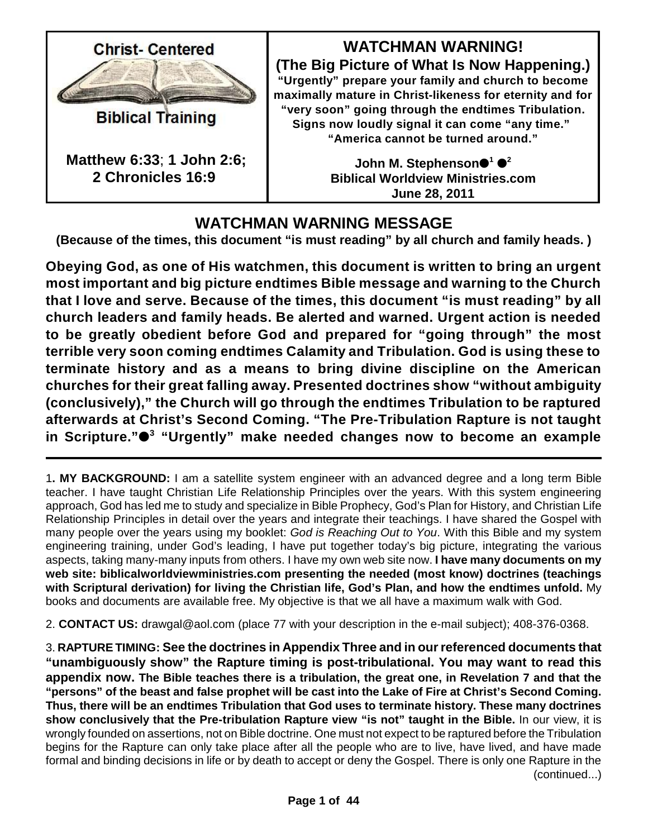

**Biblical Training** 

**Matthew 6:33**; **1 John 2:6; 2 Chronicles 16:9**

**WATCHMAN WARNING! (The Big Picture of What Is Now Happening.) "Urgently" prepare your family and church to become maximally mature in Christ-likeness for eternity and for "very soon" going through the endtimes Tribulation. Signs now loudly signal it can come "any time." "America cannot be turned around."**

> John M. Stephenson●<sup>1</sup> ●<sup>2</sup> **Biblical Worldview Ministries.com June 28, 2011**

# **WATCHMAN WARNING MESSAGE**

**(Because of the times, this document "is must reading" by all church and family heads. )**

**Obeying God, as one of His watchmen, this document is written to bring an urgent most important and big picture endtimes Bible message and warning to the Church that I love and serve. Because of the times, this document "is must reading" by all church leaders and family heads. Be alerted and warned. Urgent action is needed to be greatly obedient before God and prepared for "going through" the most terrible very soon coming endtimes Calamity and Tribulation. God is using these to terminate history and as a means to bring divine discipline on the American churches for their great falling away. Presented doctrines show "without ambiguity (conclusively)," the Church will go through the endtimes Tribulation to be raptured afterwards at Christ's Second Coming. "The Pre-Tribulation Rapture is not taught in Scripture." "Urgently" make needed changes now to become an example 3**

1**. MY BACKGROUND:** I am a satellite system engineer with an advanced degree and a long term Bible teacher. I have taught Christian Life Relationship Principles over the years. With this system engineering approach, God has led me to study and specialize in Bible Prophecy, God's Plan for History, and Christian Life Relationship Principles in detail over the years and integrate their teachings. I have shared the Gospel with many people over the years using my booklet: *God is Reaching Out to You*. With this Bible and my system engineering training, under God's leading, I have put together today's big picture, integrating the various aspects, taking many-many inputs from others. I have my own web site now. **I have many documents on my web site: biblicalworldviewministries.com presenting the needed (most know) doctrines (teachings with Scriptural derivation) for living the Christian life, God's Plan, and how the endtimes unfold.** My books and documents are available free. My objective is that we all have a maximum walk with God.

2. **CONTACT US:** drawgal@aol.com (place 77 with your description in the e-mail subject); 408-376-0368.

3. **RAPTURE TIMING: See the doctrines in Appendix Three and in our referenced documents that "unambiguously show" the Rapture timing is post-tribulational. You may want to read this appendix now. The Bible teaches there is a tribulation, the great one, in Revelation 7 and that the "persons" of the beast and false prophet will be cast into the Lake of Fire at Christ's Second Coming. Thus, there will be an endtimes Tribulation that God uses to terminate history. These many doctrines show conclusively that the Pre-tribulation Rapture view "is not" taught in the Bible.** In our view, it is wrongly founded on assertions, not on Bible doctrine. One must not expect to be raptured before the Tribulation begins for the Rapture can only take place after all the people who are to live, have lived, and have made formal and binding decisions in life or by death to accept or deny the Gospel. There is only one Rapture in the (continued...)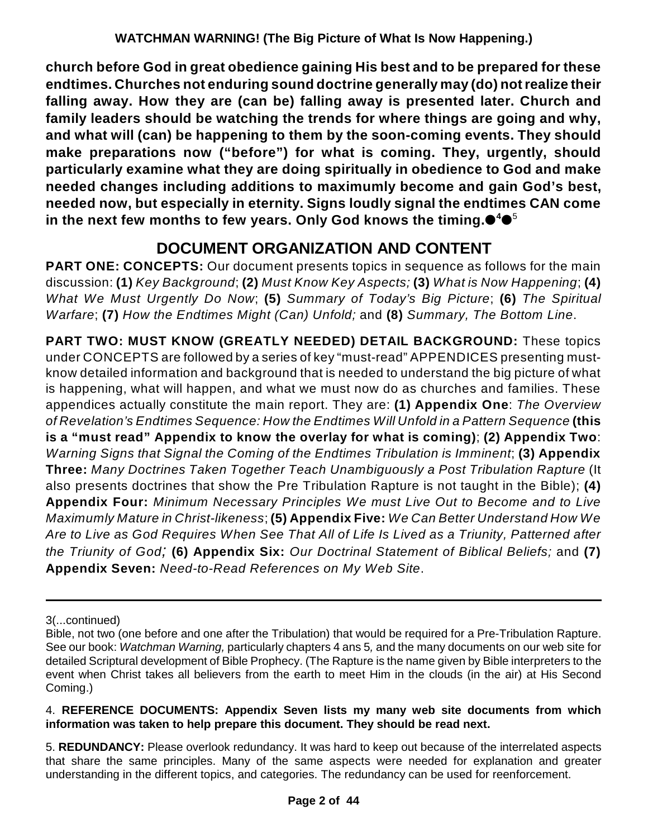**church before God in great obedience gaining His best and to be prepared for these endtimes. Churches not enduring sound doctrine generally may (do) notrealize their falling away. How they are (can be) falling away is presented later. Church and family leaders should be watching the trends for where things are going and why, and what will (can) be happening to them by the soon-coming events. They should make preparations now ("before") for what is coming. They, urgently, should particularly examine what they are doing spiritually in obedience to God and make needed changes including additions to maximumly become and gain God's best, needed now, but especially in eternity. Signs loudly signal the endtimes CAN come in the next few months to few years. Only God knows the timing. 4** 5

# **DOCUMENT ORGANIZATION AND CONTENT**

**PART ONE: CONCEPTS:** Our document presents topics in sequence as follows for the main discussion: **(1)** *Key Background*; **(2)** *Must Know Key Aspects;* **(3)** *What is Now Happening*; **(4)** *What We Must Urgently Do Now*; **(5)** *Summary of Today's Big Picture*; **(6)** *The Spiritual Warfare*; **(7)** *How the Endtimes Might (Can) Unfold;* and **(8)** *Summary, The Bottom Line*.

**PART TWO: MUST KNOW (GREATLY NEEDED) DETAIL BACKGROUND:** These topics under CONCEPTS are followed by a series of key "must-read" APPENDICES presenting mustknow detailed information and background that is needed to understand the big picture of what is happening, what will happen, and what we must now do as churches and families. These appendices actually constitute the main report. They are: **(1) Appendix One**: *The Overview of Revelation's Endtimes Sequence: How the Endtimes Will Unfold in a Pattern Sequence* **(this is a "must read" Appendix to know the overlay for what is coming)**; **(2) Appendix Two**: *Warning Signs that Signal the Coming of the Endtimes Tribulation is Imminent*; **(3) Appendix Three:** *Many Doctrines Taken Together Teach Unambiguously a Post Tribulation Rapture* (It also presents doctrines that show the Pre Tribulation Rapture is not taught in the Bible); **(4) Appendix Four:** *Minimum Necessary Principles We must Live Out to Become and to Live Maximumly Mature in Christ-likeness*; **(5) Appendix Five:** *We Can Better Understand How We Are to Live as God Requires When See That All of Life Is Lived as a Triunity, Patterned after the Triunity of God;* **(6) Appendix Six:** *Our Doctrinal Statement of Biblical Beliefs;* and **(7) Appendix Seven:** *Need-to-Read References on My Web Site*.

#### 4. **REFERENCE DOCUMENTS: Appendix Seven lists my many web site documents from which information was taken to help prepare this document. They should be read next.**

5. **REDUNDANCY:** Please overlook redundancy. It was hard to keep out because of the interrelated aspects that share the same principles. Many of the same aspects were needed for explanation and greater understanding in the different topics, and categories. The redundancy can be used for reenforcement.

<sup>3(...</sup>continued)

Bible, not two (one before and one after the Tribulation) that would be required for a Pre-Tribulation Rapture. See our book: *Watchman Warning,* particularly chapters 4 ans 5*,* and the many documents on our web site for detailed Scriptural development of Bible Prophecy. (The Rapture is the name given by Bible interpreters to the event when Christ takes all believers from the earth to meet Him in the clouds (in the air) at His Second Coming.)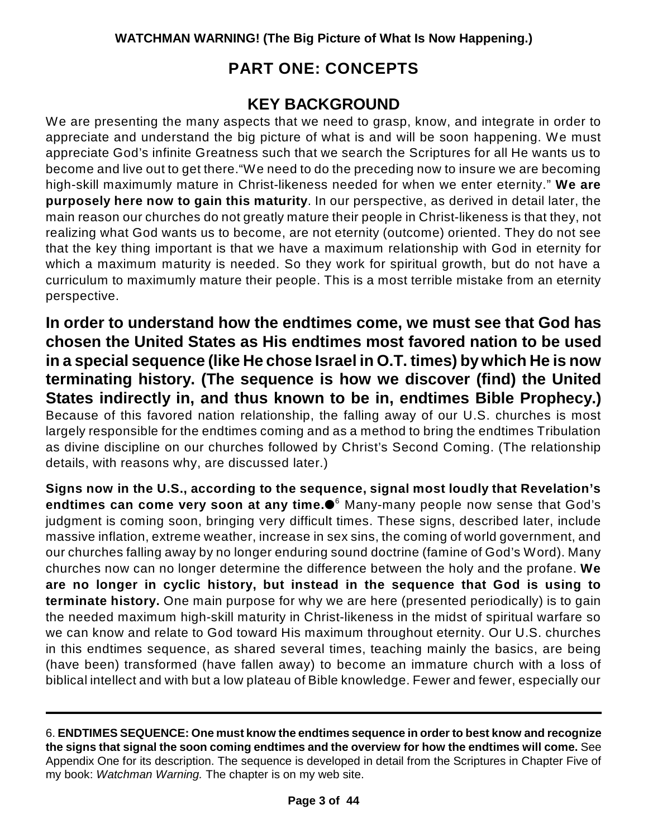# **PART ONE: CONCEPTS**

### **KEY BACKGROUND**

We are presenting the many aspects that we need to grasp, know, and integrate in order to appreciate and understand the big picture of what is and will be soon happening. We must appreciate God's infinite Greatness such that we search the Scriptures for all He wants us to become and live out to get there."We need to do the preceding now to insure we are becoming high-skill maximumly mature in Christ-likeness needed for when we enter eternity." **We are purposely here now to gain this maturity**. In our perspective, as derived in detail later, the main reason our churches do not greatly mature their people in Christ-likeness is that they, not realizing what God wants us to become, are not eternity (outcome) oriented. They do not see that the key thing important is that we have a maximum relationship with God in eternity for which a maximum maturity is needed. So they work for spiritual growth, but do not have a curriculum to maximumly mature their people. This is a most terrible mistake from an eternity perspective.

**In order to understand how the endtimes come, we must see that God has chosen the United States as His endtimes most favored nation to be used in a special sequence (like He chose Israel in O.T. times) bywhich He is now terminating history. (The sequence is how we discover (find) the United States indirectly in, and thus known to be in, endtimes Bible Prophecy.)** Because of this favored nation relationship, the falling away of our U.S. churches is most largely responsible for the endtimes coming and as a method to bring the endtimes Tribulation as divine discipline on our churches followed by Christ's Second Coming. (The relationship details, with reasons why, are discussed later.)

**Signs now in the U.S., according to the sequence, signal most loudly that Revelation's endtimes can come very soon at any time.** Many-many people now sense that God's 6 judgment is coming soon, bringing very difficult times. These signs, described later, include massive inflation, extreme weather, increase in sex sins, the coming of world government, and our churches falling away by no longer enduring sound doctrine (famine of God's Word). Many churches now can no longer determine the difference between the holy and the profane. **We are no longer in cyclic history, but instead in the sequence that God is using to terminate history.** One main purpose for why we are here (presented periodically) is to gain the needed maximum high-skill maturity in Christ-likeness in the midst of spiritual warfare so we can know and relate to God toward His maximum throughout eternity. Our U.S. churches in this endtimes sequence, as shared several times, teaching mainly the basics, are being (have been) transformed (have fallen away) to become an immature church with a loss of biblical intellect and with but a low plateau of Bible knowledge. Fewer and fewer, especially our

<sup>6.</sup> **ENDTIMES SEQUENCE: One must know the endtimes sequence in order to best know and recognize the signs that signal the soon coming endtimes and the overview for how the endtimes will come.** See Appendix One for its description. The sequence is developed in detail from the Scriptures in Chapter Five of my book: *Watchman Warning.* The chapter is on my web site.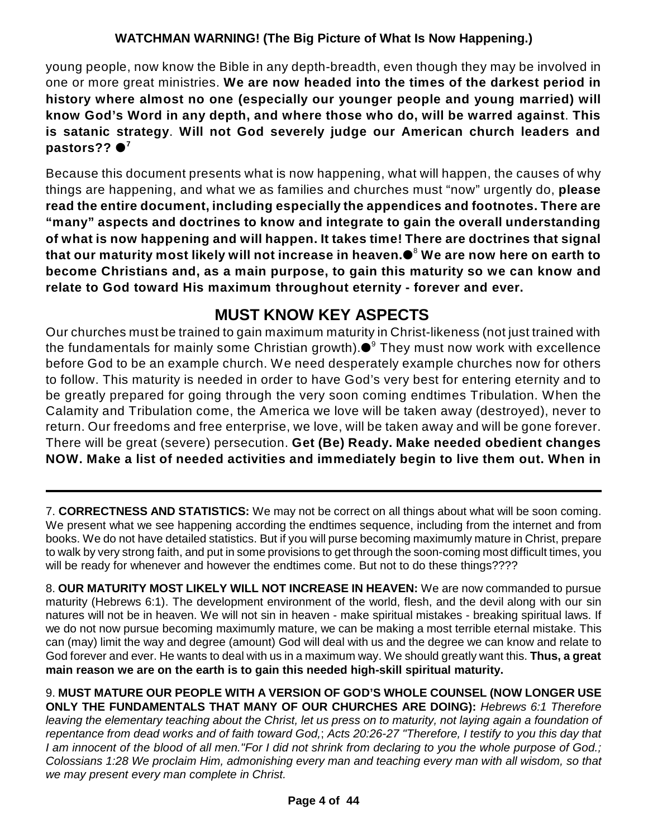young people, now know the Bible in any depth-breadth, even though they may be involved in one or more great ministries. **We are now headed into the times of the darkest period in history where almost no one (especially our younger people and young married) will know God's Word in any depth, and where those who do, will be warred against**. **This is satanic strategy**. **Will not God severely judge our American church leaders and pastors?? 7**

Because this document presents what is now happening, what will happen, the causes of why things are happening, and what we as families and churches must "now" urgently do, **please read the entire document, including especially the appendices and footnotes. There are "many" aspects and doctrines to know and integrate to gain the overall understanding of what is now happening and will happen. It takes time! There are doctrines that signal that our maturity most likely will not increase in heaven. We are now here on earth to** 8 **become Christians and, as a main purpose, to gain this maturity so we can know and relate to God toward His maximum throughout eternity - forever and ever.**

# **MUST KNOW KEY ASPECTS**

Our churches must be trained to gain maximum maturity in Christ-likeness (not just trained with the fundamentals for mainly some Christian growth). $\bullet^{\circ}$  They must now work with excellence before God to be an example church. We need desperately example churches now for others to follow. This maturity is needed in order to have God's very best for entering eternity and to be greatly prepared for going through the very soon coming endtimes Tribulation. When the Calamity and Tribulation come, the America we love will be taken away (destroyed), never to return. Our freedoms and free enterprise, we love, will be taken away and will be gone forever. There will be great (severe) persecution. **Get (Be) Ready. Make needed obedient changes NOW. Make a list of needed activities and immediately begin to live them out. When in**

7. **CORRECTNESS AND STATISTICS:** We may not be correct on all things about what will be soon coming. We present what we see happening according the endtimes sequence, including from the internet and from books. We do not have detailed statistics. But if you will purse becoming maximumly mature in Christ, prepare to walk by very strong faith, and put in some provisions to get through the soon-coming most difficult times, you will be ready for whenever and however the endtimes come. But not to do these things????

8. **OUR MATURITY MOST LIKELY WILL NOT INCREASE IN HEAVEN:** We are now commanded to pursue maturity (Hebrews 6:1). The development environment of the world, flesh, and the devil along with our sin natures will not be in heaven. We will not sin in heaven - make spiritual mistakes - breaking spiritual laws. If we do not now pursue becoming maximumly mature, we can be making a most terrible eternal mistake. This can (may) limit the way and degree (amount) God will deal with us and the degree we can know and relate to God forever and ever. He wants to deal with us in a maximum way. We should greatly want this. **Thus, a great main reason we are on the earth is to gain this needed high-skill spiritual maturity.**

9. **MUST MATURE OUR PEOPLE WITH A VERSION OF GOD'S WHOLE COUNSEL (NOW LONGER USE ONLY THE FUNDAMENTALS THAT MANY OF OUR CHURCHES ARE DOING):** *Hebrews 6:1 Therefore leaving the elementary teaching about the Christ, let us press on to maturity, not laying again a foundation of repentance from dead works and of faith toward God,*; *Acts 20:26-27 "Therefore, I testify to you this day that I am innocent of the blood of all men."For I did not shrink from declaring to you the whole purpose of God.; Colossians 1:28 We proclaim Him, admonishing every man and teaching every man with all wisdom, so that we may present every man complete in Christ.*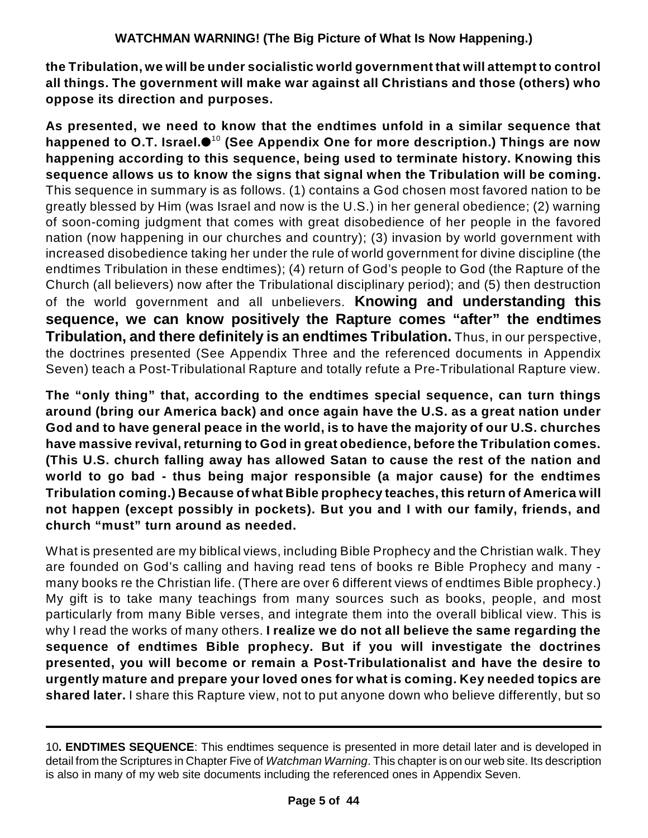**the Tribulation, we will be under socialistic world government that will attempt to control all things. The government will make war against all Christians and those (others) who oppose its direction and purposes.**

**As presented, we need to know that the endtimes unfold in a similar sequence that happened to O.T. Israel. (See Appendix One for more description.) Things are now** 10 **happening according to this sequence, being used to terminate history. Knowing this sequence allows us to know the signs that signal when the Tribulation will be coming.** This sequence in summary is as follows. (1) contains a God chosen most favored nation to be greatly blessed by Him (was Israel and now is the U.S.) in her general obedience; (2) warning of soon-coming judgment that comes with great disobedience of her people in the favored nation (now happening in our churches and country); (3) invasion by world government with increased disobedience taking her under the rule of world government for divine discipline (the endtimes Tribulation in these endtimes); (4) return of God's people to God (the Rapture of the Church (all believers) now after the Tribulational disciplinary period); and (5) then destruction of the world government and all unbelievers. **Knowing and understanding this sequence, we can know positively the Rapture comes "after" the endtimes Tribulation, and there definitely is an endtimes Tribulation.** Thus, in our perspective, the doctrines presented (See Appendix Three and the referenced documents in Appendix Seven) teach a Post-Tribulational Rapture and totally refute a Pre-Tribulational Rapture view.

**The "only thing" that, according to the endtimes special sequence, can turn things around (bring our America back) and once again have the U.S. as a great nation under God and to have general peace in the world, is to have the majority of our U.S. churches have massive revival,returning to God in great obedience, before the Tribulation comes. (This U.S. church falling away has allowed Satan to cause the rest of the nation and world to go bad - thus being major responsible (a major cause) for the endtimes Tribulation coming.) Because of what Bible prophecy teaches, this return of America will not happen (except possibly in pockets). But you and I with our family, friends, and church "must" turn around as needed.**

What is presented are my biblical views, including Bible Prophecy and the Christian walk. They are founded on God's calling and having read tens of books re Bible Prophecy and many many books re the Christian life. (There are over 6 different views of endtimes Bible prophecy.) My gift is to take many teachings from many sources such as books, people, and most particularly from many Bible verses, and integrate them into the overall biblical view. This is why I read the works of many others. **I realize we do not all believe the same regarding the sequence of endtimes Bible prophecy. But if you will investigate the doctrines presented, you will become or remain a Post-Tribulationalist and have the desire to urgently mature and prepare your loved ones for what is coming. Key needed topics are shared later.** I share this Rapture view, not to put anyone down who believe differently, but so

<sup>10</sup>**. ENDTIMES SEQUENCE**: This endtimes sequence is presented in more detail later and is developed in detail from the Scriptures in Chapter Five of *Watchman Warning*. This chapter is on our web site. Its description is also in many of my web site documents including the referenced ones in Appendix Seven.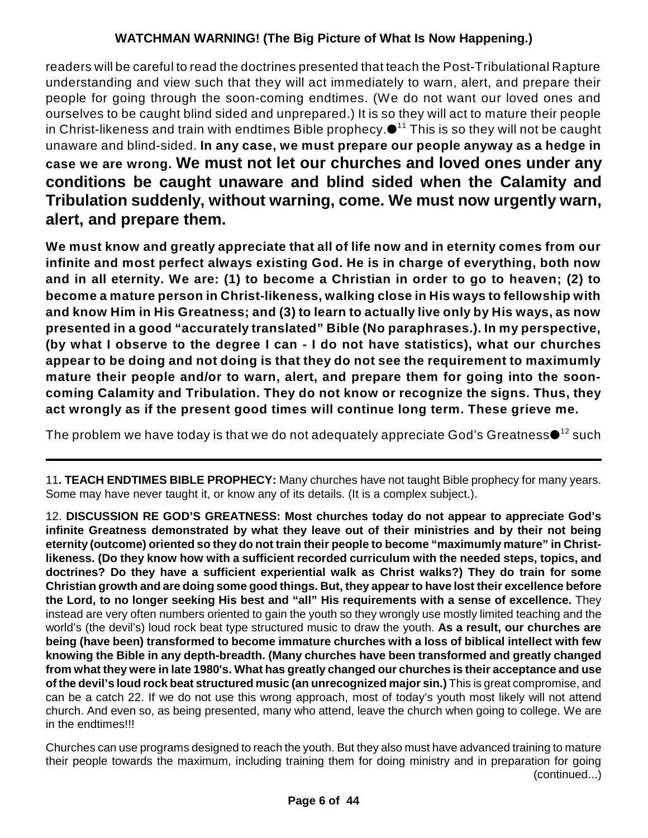readers will be careful to read the doctrines presented that teach the Post-Tribulational Rapture understanding and view such that they will act immediately to warn, alert, and prepare their people for going through the soon-coming endtimes. (We do not want our loved ones and ourselves to be caught blind sided and unprepared.) It is so they will act to mature their people in Christ-likeness and train with endtimes Bible prophecy. $\bullet^{_{11}}$  This is so they will not be caught unaware and blind-sided. **In any case, we must prepare our people anyway as a hedge in case we are wrong. We must not let our churches and loved ones under any conditions be caught unaware and blind sided when the Calamity and Tribulation suddenly, without warning, come. We must now urgently warn, alert, and prepare them.**

**We must know and greatly appreciate that all of life now and in eternity comes from our infinite and most perfect always existing God. He is in charge of everything, both now and in all eternity. We are: (1) to become a Christian in order to go to heaven; (2) to become a mature person in Christ-likeness, walking close in His ways to fellowship with and know Him in His Greatness; and (3) to learn to actually live only by His ways, as now presented in a good "accurately translated" Bible (No paraphrases.). In my perspective, (by what I observe to the degree I can - I do not have statistics), what our churches appear to be doing and not doing is that they do not see the requirement to maximumly mature their people and/or to warn, alert, and prepare them for going into the sooncoming Calamity and Tribulation. They do not know or recognize the signs. Thus, they act wrongly as if the present good times will continue long term. These grieve me.**

The problem we have today is that we do not adequately appreciate God's Greatness $\bullet^{ \text{\rm \small 12}}$  such

11**. TEACH ENDTIMES BIBLE PROPHECY:** Many churches have not taught Bible prophecy for many years. Some may have never taught it, or know any of its details. (It is a complex subject.).

12. **DISCUSSION RE GOD'S GREATNESS: Most churches today do not appear to appreciate God's infinite Greatness demonstrated by what they leave out of their ministries and by their not being eternity (outcome) oriented so they do not train their people to become "maximumly mature" in Christlikeness. (Do they know how with a sufficient recorded curriculum with the needed steps, topics, and doctrines? Do they have a sufficient experiential walk as Christ walks?) They do train for some Christian growth and are doing some good things. But, they appear to have lost their excellence before the Lord, to no longer seeking His best and "all" His requirements with a sense of excellence.** They instead are very often numbers oriented to gain the youth so they wrongly use mostly limited teaching and the world's (the devil's) loud rock beat type structured music to draw the youth. **As a result, our churches are being (have been) transformed to become immature churches with a loss of biblical intellect with few knowing the Bible in any depth-breadth. (Many churches have been transformed and greatly changed from what they were in late 1980's. What has greatly changed our churches is their acceptance and use of the devil's loud rock beat structured music (an unrecognized major sin.)** This is great compromise, and can be a catch 22. If we do not use this wrong approach, most of today's youth most likely will not attend church. And even so, as being presented, many who attend, leave the church when going to college. We are in the endtimes!!!

Churches can use programs designed to reach the youth. But they also must have advanced training to mature their people towards the maximum, including training them for doing ministry and in preparation for going (continued...)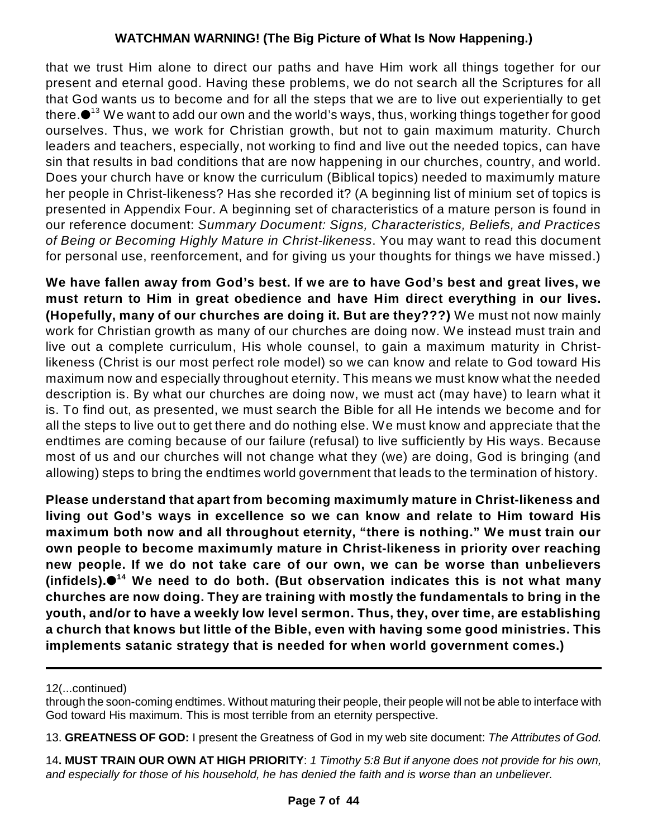that we trust Him alone to direct our paths and have Him work all things together for our present and eternal good. Having these problems, we do not search all the Scriptures for all that God wants us to become and for all the steps that we are to live out experientially to get there. $\bullet$   $^{13}$  We want to add our own and the world's ways, thus, working things together for good ourselves. Thus, we work for Christian growth, but not to gain maximum maturity. Church leaders and teachers, especially, not working to find and live out the needed topics, can have sin that results in bad conditions that are now happening in our churches, country, and world. Does your church have or know the curriculum (Biblical topics) needed to maximumly mature her people in Christ-likeness? Has she recorded it? (A beginning list of minium set of topics is presented in Appendix Four. A beginning set of characteristics of a mature person is found in our reference document: *Summary Document: Signs, Characteristics, Beliefs, and Practices of Being or Becoming Highly Mature in Christ-likeness*. You may want to read this document for personal use, reenforcement, and for giving us your thoughts for things we have missed.)

**We have fallen away from God's best. If we are to have God's best and great lives, we must return to Him in great obedience and have Him direct everything in our lives. (Hopefully, many of our churches are doing it. But are they???)** We must not now mainly work for Christian growth as many of our churches are doing now. We instead must train and live out a complete curriculum, His whole counsel, to gain a maximum maturity in Christlikeness (Christ is our most perfect role model) so we can know and relate to God toward His maximum now and especially throughout eternity. This means we must know what the needed description is. By what our churches are doing now, we must act (may have) to learn what it is. To find out, as presented, we must search the Bible for all He intends we become and for all the steps to live out to get there and do nothing else. We must know and appreciate that the endtimes are coming because of our failure (refusal) to live sufficiently by His ways. Because most of us and our churches will not change what they (we) are doing, God is bringing (and allowing) steps to bring the endtimes world government that leads to the termination of history.

**Please understand that apart from becoming maximumly mature in Christ-likeness and living out God's ways in excellence so we can know and relate to Him toward His maximum both now and all throughout eternity, "there is nothing." We must train our own people to become maximumly mature in Christ-likeness in priority over reaching new people. If we do not take care of our own, we can be worse than unbelievers (infidels). We need to do both. (But observation indicates this is not what many 14 churches are now doing. They are training with mostly the fundamentals to bring in the youth, and/or to have a weekly low level sermon. Thus, they, over time, are establishing a church that knows but little of the Bible, even with having some good ministries. This implements satanic strategy that is needed for when world government comes.)**

<sup>12(...</sup>continued)

through the soon-coming endtimes. Without maturing their people, their people will not be able to interface with God toward His maximum. This is most terrible from an eternity perspective.

<sup>13.</sup> **GREATNESS OF GOD:** I present the Greatness of God in my web site document: *The Attributes of God.*

<sup>14</sup>**. MUST TRAIN OUR OWN AT HIGH PRIORITY**: *1 Timothy 5:8 But if anyone does not provide for his own, and especially for those of his household, he has denied the faith and is worse than an unbeliever.*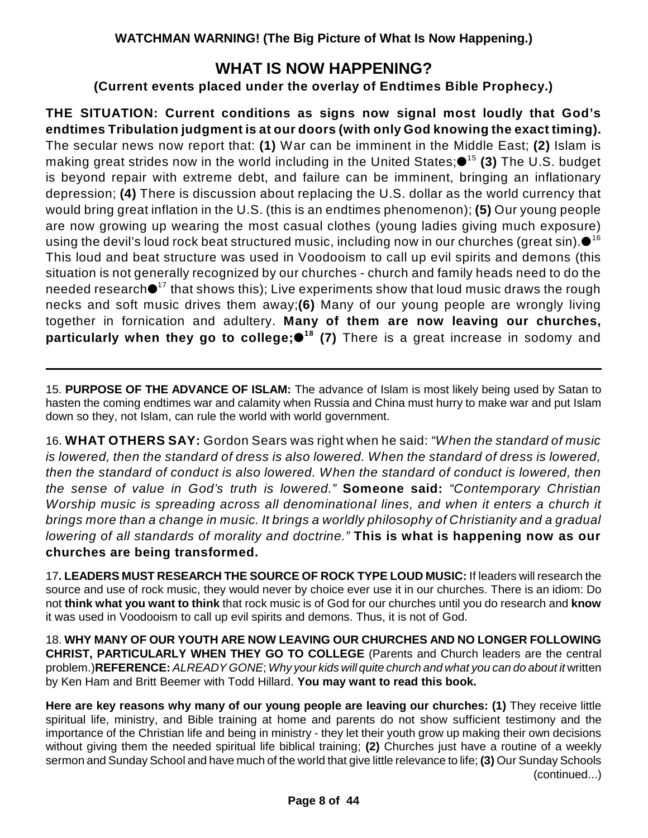### **WHAT IS NOW HAPPENING?**

### **(Current events placed under the overlay of Endtimes Bible Prophecy.)**

**THE SITUATION: Current conditions as signs now signal most loudly that God's endtimes Tribulation judgment is at our doors (with only God knowing the exact timing).** The secular news now report that: **(1)** War can be imminent in the Middle East; **(2)** Islam is making great strides now in the world including in the United States;●<sup>15</sup> **(3)** The U.S. budget is beyond repair with extreme debt, and failure can be imminent, bringing an inflationary depression; **(4)** There is discussion about replacing the U.S. dollar as the world currency that would bring great inflation in the U.S. (this is an endtimes phenomenon); **(5)** Our young people are now growing up wearing the most casual clothes (young ladies giving much exposure) using the devil's loud rock beat structured music, including now in our churches (great sin). $\bullet^{16}$ This loud and beat structure was used in Voodooism to call up evil spirits and demons (this situation is not generally recognized by our churches - church and family heads need to do the needed research $\bullet$ <sup>17</sup> that shows this); Live experiments show that loud music draws the rough necks and soft music drives them away;**(6)** Many of our young people are wrongly living together in fornication and adultery. **Many of them are now leaving our churches, particularly when they go to college; (7)** There is a great increase in sodomy and **18**

15. **PURPOSE OF THE ADVANCE OF ISLAM:** The advance of Islam is most likely being used by Satan to hasten the coming endtimes war and calamity when Russia and China must hurry to make war and put Islam down so they, not Islam, can rule the world with world government.

16. **WHAT OTHERS SAY:** Gordon Sears was right when he said: *"When the standard of music is lowered, then the standard of dress is also lowered. When the standard of dress is lowered, then the standard of conduct is also lowered. When the standard of conduct is lowered, then the sense of value in God's truth is lowered."* **Someone said:** *"Contemporary Christian Worship music is spreading across all denominational lines, and when it enters a church it brings more than a change in music. It brings a worldly philosophy of Christianity and a gradual lowering of all standards of morality and doctrine."* **This is what is happening now as our churches are being transformed.**

17**. LEADERS MUST RESEARCH THE SOURCE OF ROCK TYPE LOUD MUSIC:** If leaders will research the source and use of rock music, they would never by choice ever use it in our churches. There is an idiom: Do not **think what you want to think** that rock music is of God for our churches until you do research and **know** it was used in Voodooism to call up evil spirits and demons. Thus, it is not of God.

18. **WHY MANY OF OUR YOUTH ARE NOW LEAVING OUR CHURCHES AND NO LONGER FOLLOWING CHRIST, PARTICULARLY WHEN THEY GO TO COLLEGE** (Parents and Church leaders are the central problem.)**REFERENCE:** *ALREADY GONE*; *Why your kids will quite church and what you can do about it* written by Ken Ham and Britt Beemer with Todd Hillard. **You may want to read this book.** 

**Here are key reasons why many of our young people are leaving our churches: (1)** They receive little spiritual life, ministry, and Bible training at home and parents do not show sufficient testimony and the importance of the Christian life and being in ministry - they let their youth grow up making their own decisions without giving them the needed spiritual life biblical training; **(2)** Churches just have a routine of a weekly sermon and Sunday School and have much of the world that give little relevance to life; **(3)** Our Sunday Schools (continued...)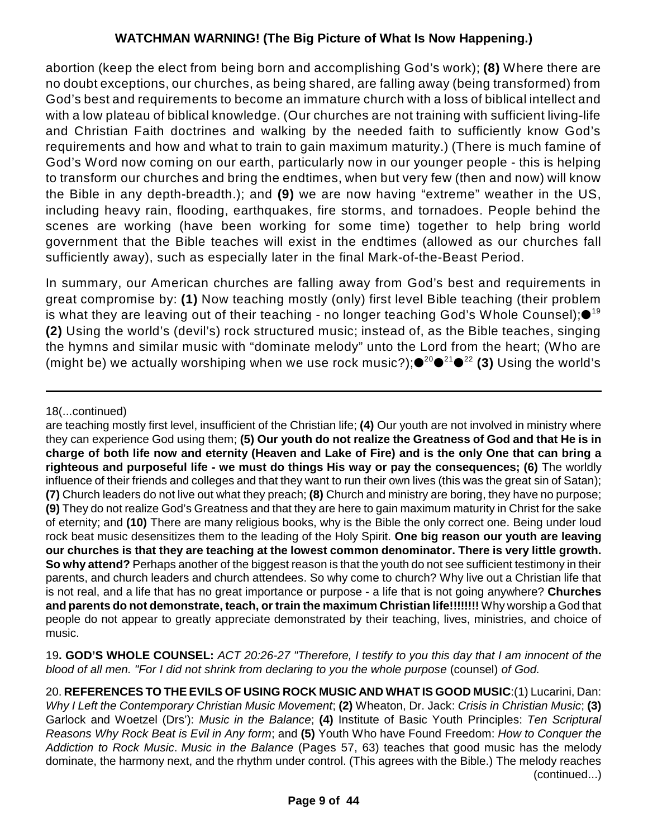abortion (keep the elect from being born and accomplishing God's work); **(8)** Where there are no doubt exceptions, our churches, as being shared, are falling away (being transformed) from God's best and requirements to become an immature church with a loss of biblical intellect and with a low plateau of biblical knowledge. (Our churches are not training with sufficient living-life and Christian Faith doctrines and walking by the needed faith to sufficiently know God's requirements and how and what to train to gain maximum maturity.) (There is much famine of God's Word now coming on our earth, particularly now in our younger people - this is helping to transform our churches and bring the endtimes, when but very few (then and now) will know the Bible in any depth-breadth.); and **(9)** we are now having "extreme" weather in the US, including heavy rain, flooding, earthquakes, fire storms, and tornadoes. People behind the scenes are working (have been working for some time) together to help bring world government that the Bible teaches will exist in the endtimes (allowed as our churches fall sufficiently away), such as especially later in the final Mark-of-the-Beast Period.

In summary, our American churches are falling away from God's best and requirements in great compromise by: **(1)** Now teaching mostly (only) first level Bible teaching (their problem is what they are leaving out of their teaching - no longer teaching God's Whole Counsel); $\bullet^{^{19}}$ **(2)** Using the world's (devil's) rock structured music; instead of, as the Bible teaches, singing the hymns and similar music with "dominate melody" unto the Lord from the heart; (Who are (might be) we actually worshiping when we use rock music?);●<sup>20</sup>●<sup>21</sup>●<sup>22</sup> (3) Using the world's

19**. GOD'S WHOLE COUNSEL:** *ACT 20:26-27 "Therefore, I testify to you this day that I am innocent of the blood of all men. "For I did not shrink from declaring to you the whole purpose (counsel) of God.* 

<sup>18(...</sup>continued)

are teaching mostly first level, insufficient of the Christian life; **(4)** Our youth are not involved in ministry where they can experience God using them; **(5) Our youth do not realize the Greatness of God and that He is in charge of both life now and eternity (Heaven and Lake of Fire) and is the only One that can bring a righteous and purposeful life - we must do things His way or pay the consequences; (6)** The worldly influence of their friends and colleges and that they want to run their own lives (this was the great sin of Satan); **(7)** Church leaders do not live out what they preach; **(8)** Church and ministry are boring, they have no purpose; **(9)** They do not realize God's Greatness and that they are here to gain maximum maturity in Christ for the sake of eternity; and **(10)** There are many religious books, why is the Bible the only correct one. Being under loud rock beat music desensitizes them to the leading of the Holy Spirit. **One big reason our youth are leaving our churches is that they are teaching at the lowest common denominator. There is very little growth. So why attend?** Perhaps another of the biggest reason is that the youth do not see sufficient testimony in their parents, and church leaders and church attendees. So why come to church? Why live out a Christian life that is not real, and a life that has no great importance or purpose - a life that is not going anywhere? **Churches and parents do not demonstrate, teach, or train the maximum Christian life!!!!!!!!** Why worship a God that people do not appear to greatly appreciate demonstrated by their teaching, lives, ministries, and choice of music.

<sup>20.</sup> **REFERENCES TO THE EVILS OF USING ROCK MUSIC AND WHAT IS GOOD MUSIC**:(1) Lucarini, Dan: *Why I Left the Contemporary Christian Music Movement*; **(2)** Wheaton, Dr. Jack: *Crisis in Christian Music*; **(3)** Garlock and Woetzel (Drs'): *Music in the Balance*; **(4)** Institute of Basic Youth Principles: *Ten Scriptural Reasons Why Rock Beat is Evil in Any form*; and **(5)** Youth Who have Found Freedom: *How to Conquer the Addiction to Rock Music*. *Music in the Balance* (Pages 57, 63) teaches that good music has the melody dominate, the harmony next, and the rhythm under control. (This agrees with the Bible.) The melody reaches (continued...)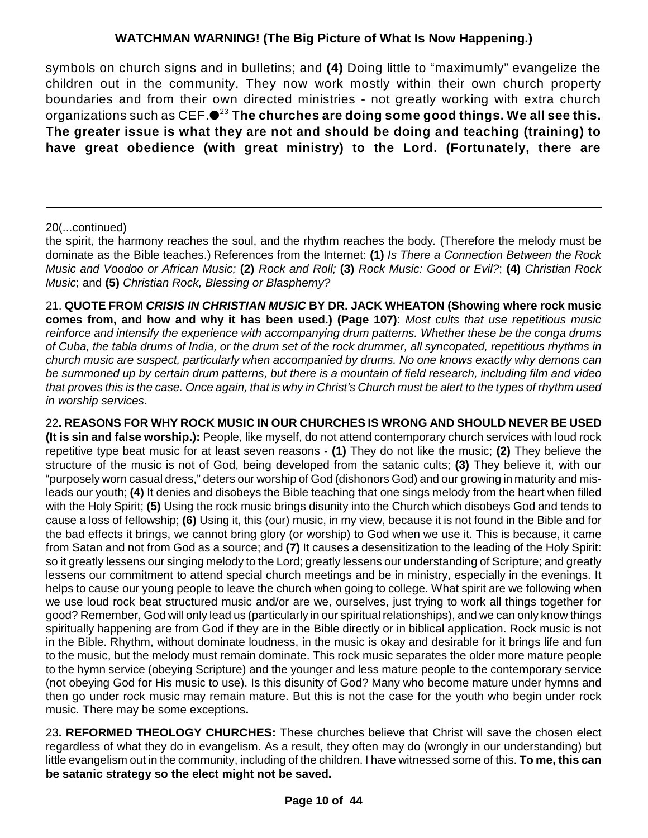symbols on church signs and in bulletins; and **(4)** Doing little to "maximumly" evangelize the children out in the community. They now work mostly within their own church property boundaries and from their own directed ministries - not greatly working with extra church organizations such as CEF. **The churches are doing some good things. We all see this.** 23 **The greater issue is what they are not and should be doing and teaching (training) to have great obedience (with great ministry) to the Lord. (Fortunately, there are**

#### 20(...continued)

the spirit, the harmony reaches the soul, and the rhythm reaches the body*.* (Therefore the melody must be dominate as the Bible teaches.) References from the Internet: **(1)** *Is There a Connection Between the Rock Music and Voodoo or African Music;* **(2)** *Rock and Roll;* **(3)** *Rock Music: Good or Evil?*; **(4)** *Christian Rock Music*; and **(5)** *Christian Rock, Blessing or Blasphemy?*

21. **QUOTE FROM** *CRISIS IN CHRISTIAN MUSIC* **BY DR. JACK WHEATON (Showing where rock music comes from, and how and why it has been used.) (Page 107)**: *Most cults that use repetitious music reinforce and intensify the experience with accompanying drum patterns. Whether these be the conga drums of Cuba, the tabla drums of India, or the drum set of the rock drummer, all syncopated, repetitious rhythms in church music are suspect, particularly when accompanied by drums. No one knows exactly why demons can be summoned up by certain drum patterns, but there is a mountain of field research, including film and video that proves this is the case. Once again, that is why in Christ's Church must be alert to the types of rhythm used in worship services.*

22**. REASONS FOR WHY ROCK MUSIC IN OUR CHURCHES IS WRONG AND SHOULD NEVER BE USED (It is sin and false worship.):** People, like myself, do not attend contemporary church services with loud rock repetitive type beat music for at least seven reasons - **(1)** They do not like the music; **(2)** They believe the structure of the music is not of God, being developed from the satanic cults; **(3)** They believe it, with our "purposely worn casual dress," deters our worship of God (dishonors God) and our growing in maturity and misleads our youth; **(4)** It denies and disobeys the Bible teaching that one sings melody from the heart when filled with the Holy Spirit; **(5)** Using the rock music brings disunity into the Church which disobeys God and tends to cause a loss of fellowship; **(6)** Using it, this (our) music, in my view, because it is not found in the Bible and for the bad effects it brings, we cannot bring glory (or worship) to God when we use it. This is because, it came from Satan and not from God as a source; and **(7)** It causes a desensitization to the leading of the Holy Spirit: so it greatly lessens our singing melody to the Lord; greatly lessens our understanding of Scripture; and greatly lessens our commitment to attend special church meetings and be in ministry, especially in the evenings. It helps to cause our young people to leave the church when going to college. What spirit are we following when we use loud rock beat structured music and/or are we, ourselves, just trying to work all things together for good? Remember, God will only lead us (particularly in our spiritual relationships), and we can only know things spiritually happening are from God if they are in the Bible directly or in biblical application. Rock music is not in the Bible. Rhythm, without dominate loudness, in the music is okay and desirable for it brings life and fun to the music, but the melody must remain dominate. This rock music separates the older more mature people to the hymn service (obeying Scripture) and the younger and less mature people to the contemporary service (not obeying God for His music to use). Is this disunity of God? Many who become mature under hymns and then go under rock music may remain mature. But this is not the case for the youth who begin under rock music. There may be some exceptions**.**

23**. REFORMED THEOLOGY CHURCHES:** These churches believe that Christ will save the chosen elect regardless of what they do in evangelism. As a result, they often may do (wrongly in our understanding) but little evangelism out in the community, including of the children. I have witnessed some of this. **To me, this can be satanic strategy so the elect might not be saved.**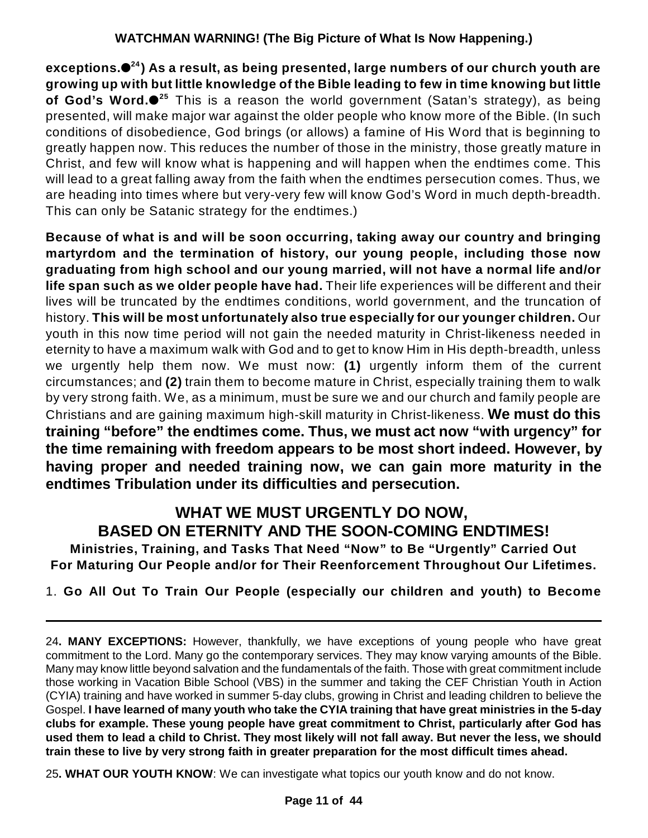**exceptions. ) As a result, as being presented, large numbers of our church youth are 24 growing up with but little knowledge of the Bible leading to few in time knowing but little of God's Word.●<sup>25</sup> This is a reason the world government (Satan's strategy), as being** presented, will make major war against the older people who know more of the Bible. (In such conditions of disobedience, God brings (or allows) a famine of His Word that is beginning to greatly happen now. This reduces the number of those in the ministry, those greatly mature in Christ, and few will know what is happening and will happen when the endtimes come. This will lead to a great falling away from the faith when the endtimes persecution comes. Thus, we are heading into times where but very-very few will know God's Word in much depth-breadth. This can only be Satanic strategy for the endtimes.)

**Because of what is and will be soon occurring, taking away our country and bringing martyrdom and the termination of history, our young people, including those now graduating from high school and our young married, will not have a normal life and/or life span such as we older people have had.** Their life experiences will be different and their lives will be truncated by the endtimes conditions, world government, and the truncation of history. **This will be most unfortunately also true especially for our younger children.** Our youth in this now time period will not gain the needed maturity in Christ-likeness needed in eternity to have a maximum walk with God and to get to know Him in His depth-breadth, unless we urgently help them now. We must now: **(1)** urgently inform them of the current circumstances; and **(2)** train them to become mature in Christ, especially training them to walk by very strong faith. We, as a minimum, must be sure we and our church and family people are Christians and are gaining maximum high-skill maturity in Christ-likeness. **We must do this training "before" the endtimes come. Thus, we must act now "with urgency" for the time remaining with freedom appears to be most short indeed. However, by having proper and needed training now, we can gain more maturity in the endtimes Tribulation under its difficulties and persecution.**

### **WHAT WE MUST URGENTLY DO NOW, BASED ON ETERNITY AND THE SOON-COMING ENDTIMES!**

**Ministries, Training, and Tasks That Need "Now" to Be "Urgently" Carried Out For Maturing Our People and/or for Their Reenforcement Throughout Our Lifetimes.**

1. **Go All Out To Train Our People (especially our children and youth) to Become**

25**. WHAT OUR YOUTH KNOW**: We can investigate what topics our youth know and do not know.

<sup>24</sup>**. MANY EXCEPTIONS:** However, thankfully, we have exceptions of young people who have great commitment to the Lord. Many go the contemporary services. They may know varying amounts of the Bible. Many may know little beyond salvation and the fundamentals of the faith. Those with great commitment include those working in Vacation Bible School (VBS) in the summer and taking the CEF Christian Youth in Action (CYIA) training and have worked in summer 5-day clubs, growing in Christ and leading children to believe the Gospel. **I have learned of many youth who take the CYIA training that have great ministries in the 5-day clubs for example. These young people have great commitment to Christ, particularly after God has used them to lead a child to Christ. They most likely will not fall away. But never the less, we should train these to live by very strong faith in greater preparation for the most difficult times ahead.**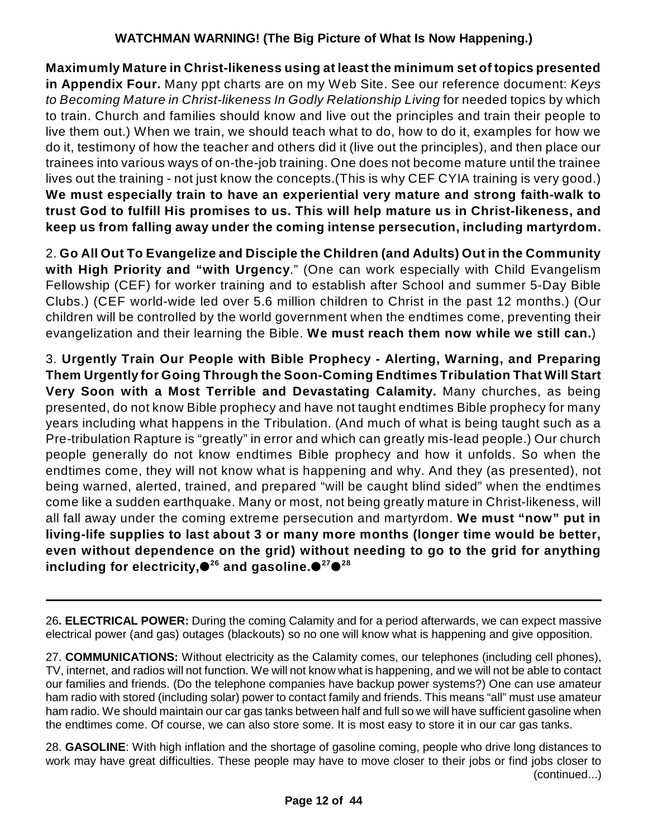**Maximumly Mature in Christ-likeness using at least the minimum set of topics presented in Appendix Four.** Many ppt charts are on my Web Site. See our reference document: *Keys to Becoming Mature in Christ-likeness In Godly Relationship Living* for needed topics by which to train. Church and families should know and live out the principles and train their people to live them out.) When we train, we should teach what to do, how to do it, examples for how we do it, testimony of how the teacher and others did it (live out the principles), and then place our trainees into various ways of on-the-job training. One does not become mature until the trainee lives out the training - not just know the concepts.(This is why CEF CYIA training is very good.) **We must especially train to have an experiential very mature and strong faith-walk to trust God to fulfill His promises to us. This will help mature us in Christ-likeness, and keep us from falling away under the coming intense persecution, including martyrdom.**

2. **Go All Out To Evangelize and Disciple the Children (and Adults) Out in the Community with High Priority and "with Urgency**." (One can work especially with Child Evangelism Fellowship (CEF) for worker training and to establish after School and summer 5-Day Bible Clubs.) (CEF world-wide led over 5.6 million children to Christ in the past 12 months.) (Our children will be controlled by the world government when the endtimes come, preventing their evangelization and their learning the Bible. **We must reach them now while we still can.**)

3. **Urgently Train Our People with Bible Prophecy - Alerting, Warning, and Preparing Them Urgently for Going Through the Soon-Coming Endtimes Tribulation That Will Start Very Soon with a Most Terrible and Devastating Calamity.** Many churches, as being presented, do not know Bible prophecy and have not taught endtimes Bible prophecy for many years including what happens in the Tribulation. (And much of what is being taught such as a Pre-tribulation Rapture is "greatly" in error and which can greatly mis-lead people.) Our church people generally do not know endtimes Bible prophecy and how it unfolds. So when the endtimes come, they will not know what is happening and why. And they (as presented), not being warned, alerted, trained, and prepared "will be caught blind sided" when the endtimes come like a sudden earthquake. Many or most, not being greatly mature in Christ-likeness, will all fall away under the coming extreme persecution and martyrdom. **We must "now" put in living-life supplies to last about 3 or many more months (longer time would be better, even without dependence on the grid) without needing to go to the grid for anything including for electricity, and gasoline. 26 27 28**

26**. ELECTRICAL POWER:** During the coming Calamity and for a period afterwards, we can expect massive electrical power (and gas) outages (blackouts) so no one will know what is happening and give opposition.

27. **COMMUNICATIONS:** Without electricity as the Calamity comes, our telephones (including cell phones), TV, internet, and radios will not function. We will not know what is happening, and we will not be able to contact our families and friends. (Do the telephone companies have backup power systems?) One can use amateur ham radio with stored (including solar) power to contact family and friends. This means "all" must use amateur ham radio. We should maintain our car gas tanks between half and full so we will have sufficient gasoline when the endtimes come. Of course, we can also store some. It is most easy to store it in our car gas tanks.

28. **GASOLINE**: With high inflation and the shortage of gasoline coming, people who drive long distances to work may have great difficulties. These people may have to move closer to their jobs or find jobs closer to (continued...)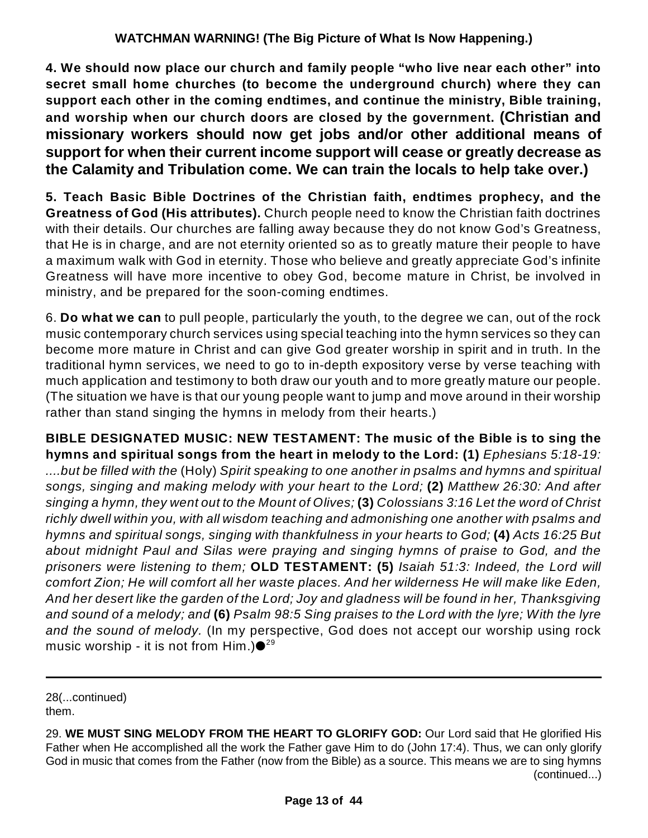**4. We should now place our church and family people "who live near each other" into secret small home churches (to become the underground church) where they can support each other in the coming endtimes, and continue the ministry, Bible training, and worship when our church doors are closed by the government. (Christian and missionary workers should now get jobs and/or other additional means of support for when their current income support will cease or greatly decrease as the Calamity and Tribulation come. We can train the locals to help take over.)**

**5. Teach Basic Bible Doctrines of the Christian faith, endtimes prophecy, and the Greatness of God (His attributes).** Church people need to know the Christian faith doctrines with their details. Our churches are falling away because they do not know God's Greatness, that He is in charge, and are not eternity oriented so as to greatly mature their people to have a maximum walk with God in eternity. Those who believe and greatly appreciate God's infinite Greatness will have more incentive to obey God, become mature in Christ, be involved in ministry, and be prepared for the soon-coming endtimes.

6. **Do what we can** to pull people, particularly the youth, to the degree we can, out of the rock music contemporary church services using special teaching into the hymn services so they can become more mature in Christ and can give God greater worship in spirit and in truth. In the traditional hymn services, we need to go to in-depth expository verse by verse teaching with much application and testimony to both draw our youth and to more greatly mature our people. (The situation we have is that our young people want to jump and move around in their worship rather than stand singing the hymns in melody from their hearts.)

**BIBLE DESIGNATED MUSIC: NEW TESTAMENT: The music of the Bible is to sing the hymns and spiritual songs from the heart in melody to the Lord: (1)** *Ephesians 5:18-19: ....but be filled with the* (Holy) *Spirit speaking to one another in psalms and hymns and spiritual songs, singing and making melody with your heart to the Lord;* **(2)** *Matthew 26:30: And after* singing a hymn, they went out to the Mount of Olives; (3) Colossians 3:16 Let the word of Christ *richly dwell within you, with all wisdom teaching and admonishing one another with psalms and hymns and spiritual songs, singing with thankfulness in your hearts to God;* **(4)** *Acts 16:25 But about midnight Paul and Silas were praying and singing hymns of praise to God, and the prisoners were listening to them;* **OLD TESTAMENT: (5)** *Isaiah 51:3: Indeed, the Lord will comfort Zion; He will comfort all her waste places. And her wilderness He will make like Eden, And her desert like the garden of the Lord; Joy and gladness will be found in her, Thanksgiving* and sound of a melody; and (6) Psalm 98:5 Sing praises to the Lord with the lyre; With the lyre *and the sound of melody.* (In my perspective, God does not accept our worship using rock music worship - it is not from Him.) $\mathord{\bullet}^{29}$ 

28(...continued) them.

<sup>29.</sup> **WE MUST SING MELODY FROM THE HEART TO GLORIFY GOD:** Our Lord said that He glorified His Father when He accomplished all the work the Father gave Him to do (John 17:4). Thus, we can only glorify God in music that comes from the Father (now from the Bible) as a source. This means we are to sing hymns (continued...)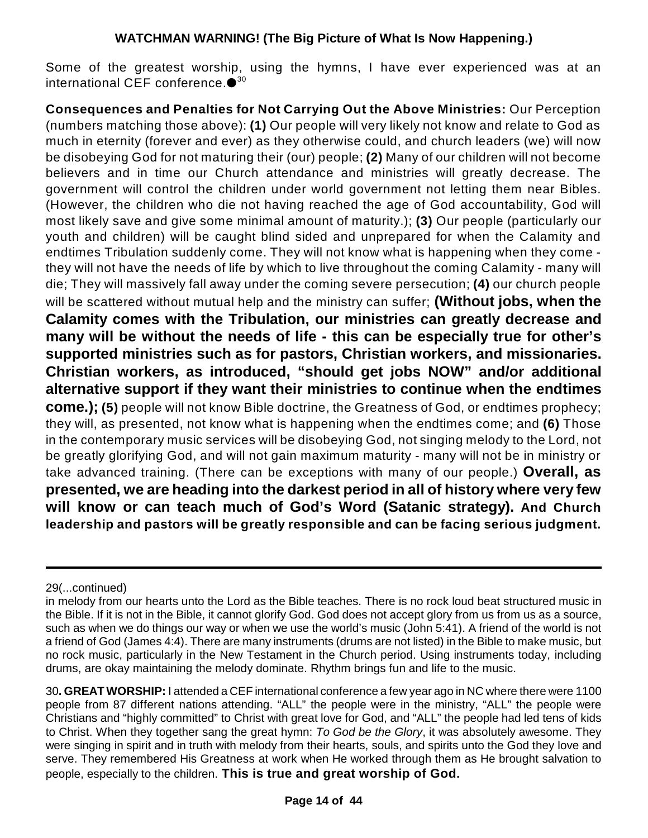Some of the greatest worship, using the hymns, I have ever experienced was at an international CEF conference. $\bullet^{30}$ 

**Consequences and Penalties for Not Carrying Out the Above Ministries:** Our Perception (numbers matching those above): **(1)** Our people will very likely not know and relate to God as much in eternity (forever and ever) as they otherwise could, and church leaders (we) will now be disobeying God for not maturing their (our) people; **(2)** Many of our children will not become believers and in time our Church attendance and ministries will greatly decrease. The government will control the children under world government not letting them near Bibles. (However, the children who die not having reached the age of God accountability, God will most likely save and give some minimal amount of maturity.); **(3)** Our people (particularly our youth and children) will be caught blind sided and unprepared for when the Calamity and endtimes Tribulation suddenly come. They will not know what is happening when they come they will not have the needs of life by which to live throughout the coming Calamity - many will die; They will massively fall away under the coming severe persecution; **(4)** our church people will be scattered without mutual help and the ministry can suffer; **(Without jobs, when the Calamity comes with the Tribulation, our ministries can greatly decrease and many will be without the needs of life - this can be especially true for other's supported ministries such as for pastors, Christian workers, and missionaries. Christian workers, as introduced, "should get jobs NOW" and/or additional alternative support if they want their ministries to continue when the endtimes come.); (5)** people will not know Bible doctrine, the Greatness of God, or endtimes prophecy; they will, as presented, not know what is happening when the endtimes come; and **(6)** Those in the contemporary music services will be disobeying God, not singing melody to the Lord, not be greatly glorifying God, and will not gain maximum maturity - many will not be in ministry or take advanced training. (There can be exceptions with many of our people.) **Overall, as presented, we are heading into the darkest period in all of history where very few will know or can teach much of God's Word (Satanic strategy). And Church leadership and pastors will be greatly responsible and can be facing serious judgment.**

29(...continued)

in melody from our hearts unto the Lord as the Bible teaches. There is no rock loud beat structured music in the Bible. If it is not in the Bible, it cannot glorify God. God does not accept glory from us from us as a source, such as when we do things our way or when we use the world's music (John 5:41). A friend of the world is not a friend of God (James 4:4). There are many instruments (drums are not listed) in the Bible to make music, but no rock music, particularly in the New Testament in the Church period. Using instruments today, including drums, are okay maintaining the melody dominate. Rhythm brings fun and life to the music.

<sup>30</sup>**. GREAT WORSHIP:** I attended a CEF international conference a few year ago in NC where there were 1100 people from 87 different nations attending. "ALL" the people were in the ministry, "ALL" the people were Christians and "highly committed" to Christ with great love for God, and "ALL" the people had led tens of kids to Christ. When they together sang the great hymn: *To God be the Glory*, it was absolutely awesome. They were singing in spirit and in truth with melody from their hearts, souls, and spirits unto the God they love and serve. They remembered His Greatness at work when He worked through them as He brought salvation to people, especially to the children. **This is true and great worship of God.**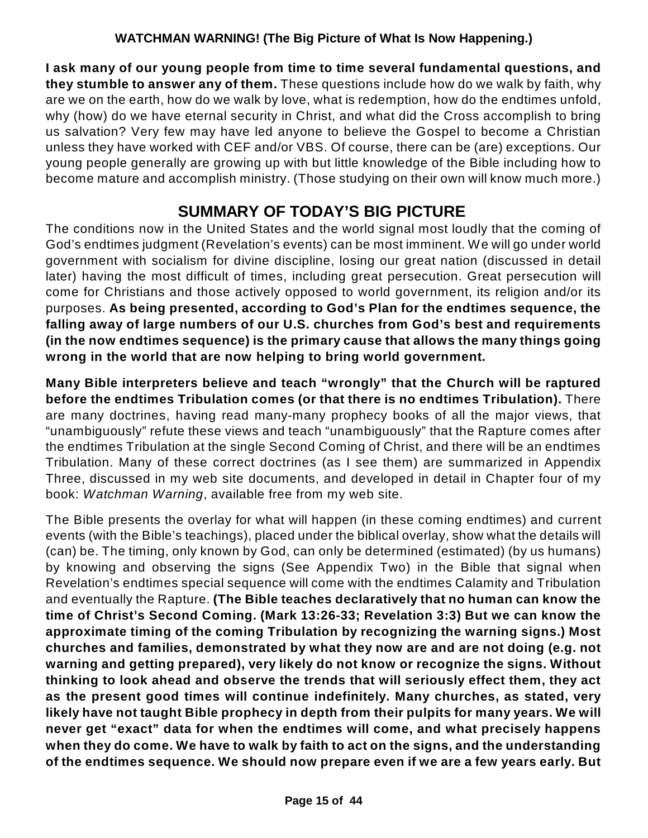**I ask many of our young people from time to time several fundamental questions, and they stumble to answer any of them.** These questions include how do we walk by faith, why are we on the earth, how do we walk by love, what is redemption, how do the endtimes unfold, why (how) do we have eternal security in Christ, and what did the Cross accomplish to bring us salvation? Very few may have led anyone to believe the Gospel to become a Christian unless they have worked with CEF and/or VBS. Of course, there can be (are) exceptions. Our young people generally are growing up with but little knowledge of the Bible including how to become mature and accomplish ministry. (Those studying on their own will know much more.)

# **SUMMARY OF TODAY'S BIG PICTURE**

The conditions now in the United States and the world signal most loudly that the coming of God's endtimes judgment (Revelation's events) can be most imminent. We will go under world government with socialism for divine discipline, losing our great nation (discussed in detail later) having the most difficult of times, including great persecution. Great persecution will come for Christians and those actively opposed to world government, its religion and/or its purposes. **As being presented, according to God's Plan for the endtimes sequence, the falling away of large numbers of our U.S. churches from God's best and requirements (in the now endtimes sequence) is the primary cause that allows the many things going wrong in the world that are now helping to bring world government.**

**Many Bible interpreters believe and teach "wrongly" that the Church will be raptured before the endtimes Tribulation comes (or that there is no endtimes Tribulation).** There are many doctrines, having read many-many prophecy books of all the major views, that "unambiguously" refute these views and teach "unambiguously" that the Rapture comes after the endtimes Tribulation at the single Second Coming of Christ, and there will be an endtimes Tribulation. Many of these correct doctrines (as I see them) are summarized in Appendix Three, discussed in my web site documents, and developed in detail in Chapter four of my book: *Watchman Warning*, available free from my web site.

The Bible presents the overlay for what will happen (in these coming endtimes) and current events (with the Bible's teachings), placed under the biblical overlay, show what the details will (can) be. The timing, only known by God, can only be determined (estimated) (by us humans) by knowing and observing the signs (See Appendix Two) in the Bible that signal when Revelation's endtimes special sequence will come with the endtimes Calamity and Tribulation and eventually the Rapture. **(The Bible teaches declaratively that no human can know the time of Christ's Second Coming. (Mark 13:26-33; Revelation 3:3) But we can know the approximate timing of the coming Tribulation by recognizing the warning signs.) Most churches and families, demonstrated by what they now are and are not doing (e.g. not warning and getting prepared), very likely do not know or recognize the signs. Without thinking to look ahead and observe the trends that will seriously effect them, they act as the present good times will continue indefinitely. Many churches, as stated, very likely have not taught Bible prophecy in depth from their pulpits for many years. We will never get "exact" data for when the endtimes will come, and what precisely happens when they do come. We have to walk by faith to act on the signs, and the understanding of the endtimes sequence. We should now prepare even if we are a few years early. But**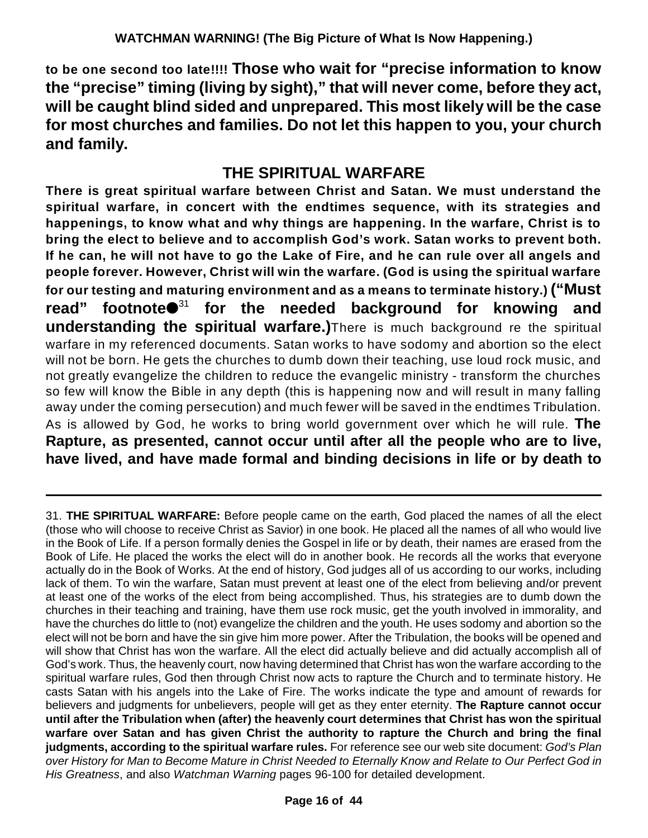**to be one second too late!!!! Those who wait for "precise information to know the "precise" timing (living by sight)," that will never come, before they act, will be caught blind sided and unprepared. This most likely will be the case for most churches and families. Do not let this happen to you, your church and family.**

### **THE SPIRITUAL WARFARE**

**There is great spiritual warfare between Christ and Satan. We must understand the spiritual warfare, in concert with the endtimes sequence, with its strategies and happenings, to know what and why things are happening. In the warfare, Christ is to bring the elect to believe and to accomplish God's work. Satan works to prevent both.** If he can, he will not have to go the Lake of Fire, and he can rule over all angels and **people forever. However, Christ will win the warfare. (God is using the spiritual warfare for our testing and maturing environment and as a means to terminate history.) ("Must** read" footnote<sup>31</sup> for the needed background for knowing and **understanding the spiritual warfare.)**There is much background re the spiritual warfare in my referenced documents. Satan works to have sodomy and abortion so the elect will not be born. He gets the churches to dumb down their teaching, use loud rock music, and not greatly evangelize the children to reduce the evangelic ministry - transform the churches so few will know the Bible in any depth (this is happening now and will result in many falling away under the coming persecution) and much fewer will be saved in the endtimes Tribulation. As is allowed by God, he works to bring world government over which he will rule. **The Rapture, as presented, cannot occur until after all the people who are to live, have lived, and have made formal and binding decisions in life or by death to**

<sup>31.</sup> **THE SPIRITUAL WARFARE:** Before people came on the earth, God placed the names of all the elect (those who will choose to receive Christ as Savior) in one book. He placed all the names of all who would live in the Book of Life. If a person formally denies the Gospel in life or by death, their names are erased from the Book of Life. He placed the works the elect will do in another book. He records all the works that everyone actually do in the Book of Works. At the end of history, God judges all of us according to our works, including lack of them. To win the warfare, Satan must prevent at least one of the elect from believing and/or prevent at least one of the works of the elect from being accomplished. Thus, his strategies are to dumb down the churches in their teaching and training, have them use rock music, get the youth involved in immorality, and have the churches do little to (not) evangelize the children and the youth. He uses sodomy and abortion so the elect will not be born and have the sin give him more power. After the Tribulation, the books will be opened and will show that Christ has won the warfare. All the elect did actually believe and did actually accomplish all of God's work. Thus, the heavenly court, now having determined that Christ has won the warfare according to the spiritual warfare rules, God then through Christ now acts to rapture the Church and to terminate history. He casts Satan with his angels into the Lake of Fire. The works indicate the type and amount of rewards for believers and judgments for unbelievers, people will get as they enter eternity. **The Rapture cannot occur until after the Tribulation when (after) the heavenly court determines that Christ has won the spiritual warfare over Satan and has given Christ the authority to rapture the Church and bring the final judgments, according to the spiritual warfare rules.** For reference see our web site document: *God's Plan over History for Man to Become Mature in Christ Needed to Eternally Know and Relate to Our Perfect God in His Greatness*, and also *Watchman Warning* pages 96-100 for detailed development.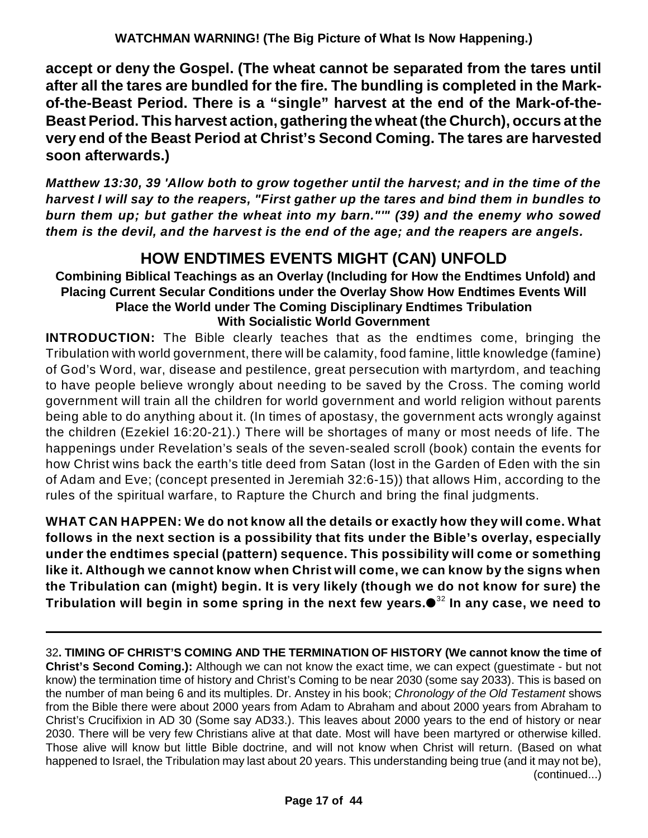**accept or deny the Gospel. (The wheat cannot be separated from the tares until after all the tares are bundled for the fire. The bundling is completed in the Markof-the-Beast Period. There is a "single" harvest at the end of the Mark-of-the-Beast Period. This harvest action, gathering the wheat (the Church), occurs at the very end of the Beast Period at Christ's Second Coming. The tares are harvested soon afterwards.)**

*Matthew 13:30, 39 'Allow both to grow together until the harvest; and in the time of the harvest I will say to the reapers, "First gather up the tares and bind them in bundles to burn them up; but gather the wheat into my barn."'" (39) and the enemy who sowed them is the devil, and the harvest is the end of the age; and the reapers are angels.*

### **HOW ENDTIMES EVENTS MIGHT (CAN) UNFOLD**

**Combining Biblical Teachings as an Overlay (Including for How the Endtimes Unfold) and Placing Current Secular Conditions under the Overlay Show How Endtimes Events Will Place the World under The Coming Disciplinary Endtimes Tribulation With Socialistic World Government** 

**INTRODUCTION:** The Bible clearly teaches that as the endtimes come, bringing the Tribulation with world government, there will be calamity, food famine, little knowledge (famine) of God's Word, war, disease and pestilence, great persecution with martyrdom, and teaching to have people believe wrongly about needing to be saved by the Cross. The coming world government will train all the children for world government and world religion without parents being able to do anything about it. (In times of apostasy, the government acts wrongly against the children (Ezekiel 16:20-21).) There will be shortages of many or most needs of life. The happenings under Revelation's seals of the seven-sealed scroll (book) contain the events for how Christ wins back the earth's title deed from Satan (lost in the Garden of Eden with the sin of Adam and Eve; (concept presented in Jeremiah 32:6-15)) that allows Him, according to the rules of the spiritual warfare, to Rapture the Church and bring the final judgments.

**WHAT CAN HAPPEN: We do not know all the details or exactly how they will come. What follows in the next section is a possibility that fits under the Bible's overlay, especially under the endtimes special (pattern) sequence. This possibility will come or something like it. Although we cannot know when Christ will come, we can know by the signs when the Tribulation can (might) begin. It is very likely (though we do not know for sure) the Tribulation will begin in some spring in the next few years. In any case, we need to** 32

32**. TIMING OF CHRIST'S COMING AND THE TERMINATION OF HISTORY (We cannot know the time of Christ's Second Coming.):** Although we can not know the exact time, we can expect (guestimate - but not know) the termination time of history and Christ's Coming to be near 2030 (some say 2033). This is based on the number of man being 6 and its multiples. Dr. Anstey in his book; *Chronology of the Old Testament* shows from the Bible there were about 2000 years from Adam to Abraham and about 2000 years from Abraham to Christ's Crucifixion in AD 30 (Some say AD33.). This leaves about 2000 years to the end of history or near 2030. There will be very few Christians alive at that date. Most will have been martyred or otherwise killed. Those alive will know but little Bible doctrine, and will not know when Christ will return. (Based on what happened to Israel, the Tribulation may last about 20 years. This understanding being true (and it may not be), (continued...)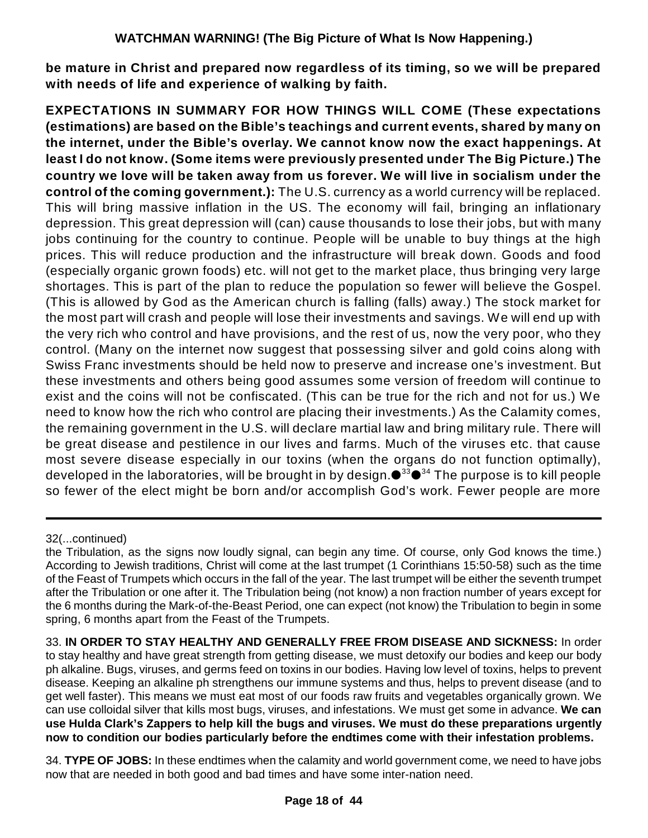**be mature in Christ and prepared now regardless of its timing, so we will be prepared with needs of life and experience of walking by faith.**

**EXPECTATIONS IN SUMMARY FOR HOW THINGS WILL COME (These expectations (estimations) are based on the Bible's teachings and current events, shared by many on the internet, under the Bible's overlay. We cannot know now the exact happenings. At least I do not know. (Some items were previously presented under The Big Picture.) The country we love will be taken away from us forever. We will live in socialism under the control of the coming government.):** The U.S. currency as a world currency will be replaced. This will bring massive inflation in the US. The economy will fail, bringing an inflationary depression. This great depression will (can) cause thousands to lose their jobs, but with many jobs continuing for the country to continue. People will be unable to buy things at the high prices. This will reduce production and the infrastructure will break down. Goods and food (especially organic grown foods) etc. will not get to the market place, thus bringing very large shortages. This is part of the plan to reduce the population so fewer will believe the Gospel. (This is allowed by God as the American church is falling (falls) away.) The stock market for the most part will crash and people will lose their investments and savings. We will end up with the very rich who control and have provisions, and the rest of us, now the very poor, who they control. (Many on the internet now suggest that possessing silver and gold coins along with Swiss Franc investments should be held now to preserve and increase one's investment. But these investments and others being good assumes some version of freedom will continue to exist and the coins will not be confiscated. (This can be true for the rich and not for us.) We need to know how the rich who control are placing their investments.) As the Calamity comes, the remaining government in the U.S. will declare martial law and bring military rule. There will be great disease and pestilence in our lives and farms. Much of the viruses etc. that cause most severe disease especially in our toxins (when the organs do not function optimally), developed in the laboratories, will be brought in by design. $\bullet^{33} \bullet^{34}$  The purpose is to kill people so fewer of the elect might be born and/or accomplish God's work. Fewer people are more

33. **IN ORDER TO STAY HEALTHY AND GENERALLY FREE FROM DISEASE AND SICKNESS:** In order to stay healthy and have great strength from getting disease, we must detoxify our bodies and keep our body ph alkaline. Bugs, viruses, and germs feed on toxins in our bodies. Having low level of toxins, helps to prevent disease. Keeping an alkaline ph strengthens our immune systems and thus, helps to prevent disease (and to get well faster). This means we must eat most of our foods raw fruits and vegetables organically grown. We can use colloidal silver that kills most bugs, viruses, and infestations. We must get some in advance. **We can use Hulda Clark's Zappers to help kill the bugs and viruses. We must do these preparations urgently now to condition our bodies particularly before the endtimes come with their infestation problems.**

34. **TYPE OF JOBS:** In these endtimes when the calamity and world government come, we need to have jobs now that are needed in both good and bad times and have some inter-nation need.

<sup>32(...</sup>continued)

the Tribulation, as the signs now loudly signal, can begin any time. Of course, only God knows the time.) According to Jewish traditions, Christ will come at the last trumpet (1 Corinthians 15:50-58) such as the time of the Feast of Trumpets which occurs in the fall of the year. The last trumpet will be either the seventh trumpet after the Tribulation or one after it. The Tribulation being (not know) a non fraction number of years except for the 6 months during the Mark-of-the-Beast Period, one can expect (not know) the Tribulation to begin in some spring, 6 months apart from the Feast of the Trumpets.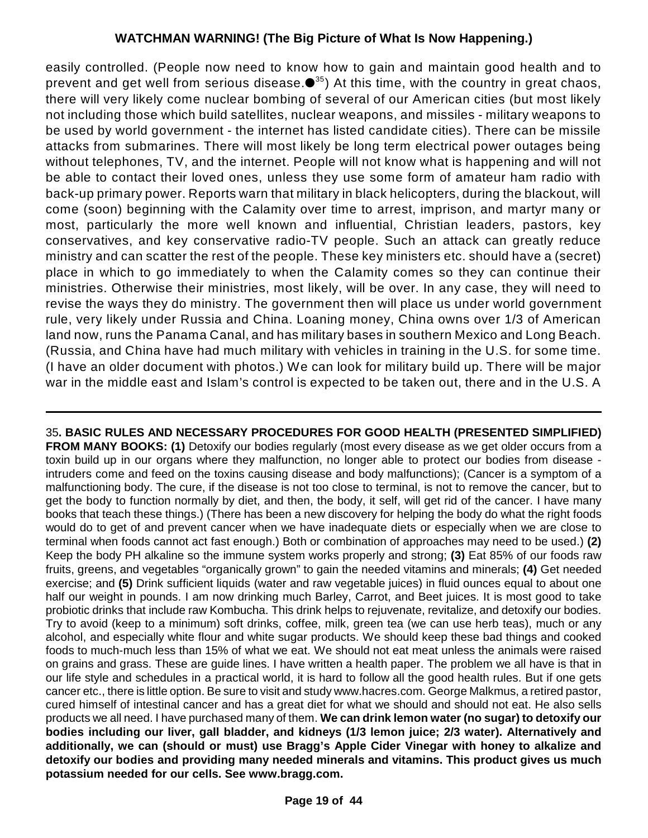easily controlled. (People now need to know how to gain and maintain good health and to prevent and get well from serious disease. $\bullet^{35})$  At this time, with the country in great chaos, there will very likely come nuclear bombing of several of our American cities (but most likely not including those which build satellites, nuclear weapons, and missiles - military weapons to be used by world government - the internet has listed candidate cities). There can be missile attacks from submarines. There will most likely be long term electrical power outages being without telephones, TV, and the internet. People will not know what is happening and will not be able to contact their loved ones, unless they use some form of amateur ham radio with back-up primary power. Reports warn that military in black helicopters, during the blackout, will come (soon) beginning with the Calamity over time to arrest, imprison, and martyr many or most, particularly the more well known and influential, Christian leaders, pastors, key conservatives, and key conservative radio-TV people. Such an attack can greatly reduce ministry and can scatter the rest of the people. These key ministers etc. should have a (secret) place in which to go immediately to when the Calamity comes so they can continue their ministries. Otherwise their ministries, most likely, will be over. In any case, they will need to revise the ways they do ministry. The government then will place us under world government rule, very likely under Russia and China. Loaning money, China owns over 1/3 of American land now, runs the Panama Canal, and has military bases in southern Mexico and Long Beach. (Russia, and China have had much military with vehicles in training in the U.S. for some time. (I have an older document with photos.) We can look for military build up. There will be major war in the middle east and Islam's control is expected to be taken out, there and in the U.S. A

35**. BASIC RULES AND NECESSARY PROCEDURES FOR GOOD HEALTH (PRESENTED SIMPLIFIED) FROM MANY BOOKS: (1)** Detoxify our bodies regularly (most every disease as we get older occurs from a toxin build up in our organs where they malfunction, no longer able to protect our bodies from disease intruders come and feed on the toxins causing disease and body malfunctions); (Cancer is a symptom of a malfunctioning body. The cure, if the disease is not too close to terminal, is not to remove the cancer, but to get the body to function normally by diet, and then, the body, it self, will get rid of the cancer. I have many books that teach these things.) (There has been a new discovery for helping the body do what the right foods would do to get of and prevent cancer when we have inadequate diets or especially when we are close to terminal when foods cannot act fast enough.) Both or combination of approaches may need to be used.) **(2)** Keep the body PH alkaline so the immune system works properly and strong; **(3)** Eat 85% of our foods raw fruits, greens, and vegetables "organically grown" to gain the needed vitamins and minerals; **(4)** Get needed exercise; and **(5)** Drink sufficient liquids (water and raw vegetable juices) in fluid ounces equal to about one half our weight in pounds. I am now drinking much Barley, Carrot, and Beet juices. It is most good to take probiotic drinks that include raw Kombucha. This drink helps to rejuvenate, revitalize, and detoxify our bodies. Try to avoid (keep to a minimum) soft drinks, coffee, milk, green tea (we can use herb teas), much or any alcohol, and especially white flour and white sugar products. We should keep these bad things and cooked foods to much-much less than 15% of what we eat. We should not eat meat unless the animals were raised on grains and grass. These are guide lines. I have written a health paper. The problem we all have is that in our life style and schedules in a practical world, it is hard to follow all the good health rules. But if one gets cancer etc., there is little option. Be sure to visit and study www.hacres.com. George Malkmus, a retired pastor, cured himself of intestinal cancer and has a great diet for what we should and should not eat. He also sells products we all need. I have purchased many of them. **We can drink lemon water (no sugar) to detoxify our bodies including our liver, gall bladder, and kidneys (1/3 lemon juice; 2/3 water). Alternatively and additionally, we can (should or must) use Bragg's Apple Cider Vinegar with honey to alkalize and detoxify our bodies and providing many needed minerals and vitamins. This product gives us much potassium needed for our cells. See www.bragg.com.**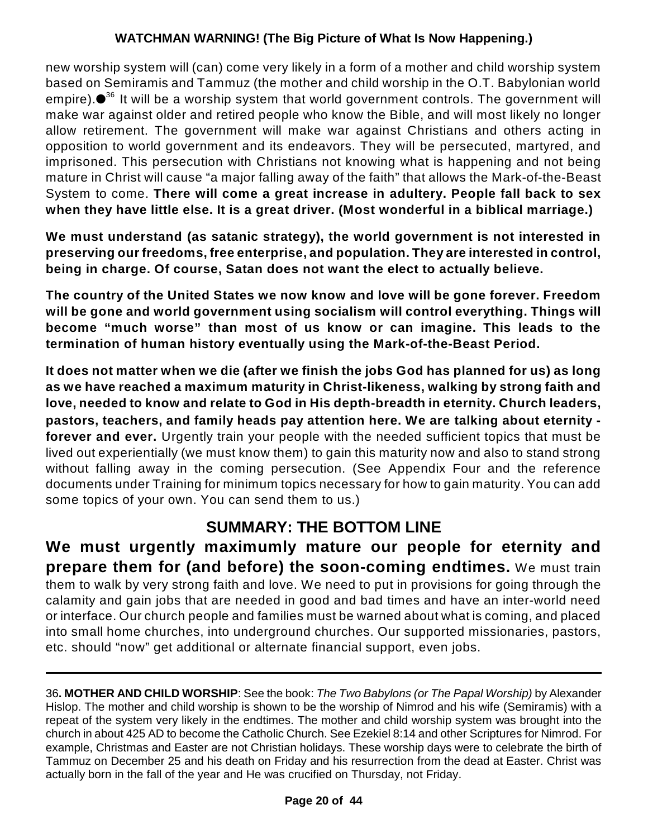new worship system will (can) come very likely in a form of a mother and child worship system based on Semiramis and Tammuz (the mother and child worship in the O.T. Babylonian world empire). $\bullet^{36}$  It will be a worship system that world government controls. The government will make war against older and retired people who know the Bible, and will most likely no longer allow retirement. The government will make war against Christians and others acting in opposition to world government and its endeavors. They will be persecuted, martyred, and imprisoned. This persecution with Christians not knowing what is happening and not being mature in Christ will cause "a major falling away of the faith" that allows the Mark-of-the-Beast System to come. **There will come a great increase in adultery. People fall back to sex when they have little else. It is a great driver. (Most wonderful in a biblical marriage.)**

**We must understand (as satanic strategy), the world government is not interested in preserving our freedoms, free enterprise, and population. They are interested in control, being in charge. Of course, Satan does not want the elect to actually believe.**

**The country of the United States we now know and love will be gone forever. Freedom will be gone and world government using socialism will control everything. Things will become "much worse" than most of us know or can imagine. This leads to the termination of human history eventually using the Mark-of-the-Beast Period.**

**It does not matter when we die (after we finish the jobs God has planned for us) as long as we have reached a maximum maturity in Christ-likeness, walking by strong faith and love, needed to know and relate to God in His depth-breadth in eternity. Church leaders, pastors, teachers, and family heads pay attention here. We are talking about eternity forever and ever.** Urgently train your people with the needed sufficient topics that must be lived out experientially (we must know them) to gain this maturity now and also to stand strong without falling away in the coming persecution. (See Appendix Four and the reference documents under Training for minimum topics necessary for how to gain maturity. You can add some topics of your own. You can send them to us.)

### **SUMMARY: THE BOTTOM LINE**

**We must urgently maximumly mature our people for eternity and prepare them for (and before) the soon-coming endtimes.** We must train them to walk by very strong faith and love. We need to put in provisions for going through the calamity and gain jobs that are needed in good and bad times and have an inter-world need or interface. Our church people and families must be warned about what is coming, and placed into small home churches, into underground churches. Our supported missionaries, pastors, etc. should "now" get additional or alternate financial support, even jobs.

36**. MOTHER AND CHILD WORSHIP**: See the book: *The Two Babylons (or The Papal Worship)* by Alexander Hislop. The mother and child worship is shown to be the worship of Nimrod and his wife (Semiramis) with a repeat of the system very likely in the endtimes. The mother and child worship system was brought into the church in about 425 AD to become the Catholic Church. See Ezekiel 8:14 and other Scriptures for Nimrod. For example, Christmas and Easter are not Christian holidays. These worship days were to celebrate the birth of Tammuz on December 25 and his death on Friday and his resurrection from the dead at Easter. Christ was actually born in the fall of the year and He was crucified on Thursday, not Friday.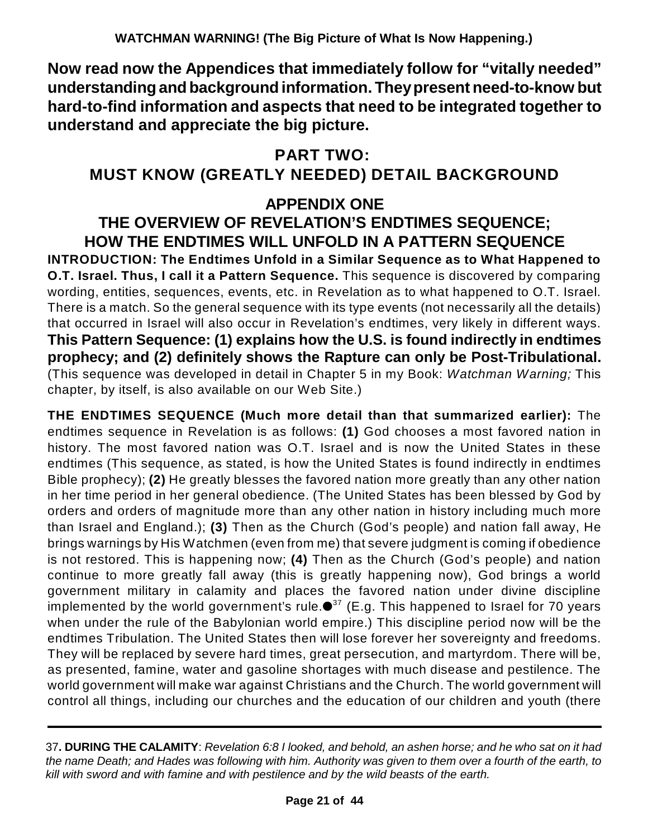**Now read now the Appendices that immediately follow for "vitally needed" understanding and background information. Theypresent need-to-know but hard-to-find information and aspects that need to be integrated together to understand and appreciate the big picture.**

# **PART TWO:**

### **MUST KNOW (GREATLY NEEDED) DETAIL BACKGROUND**

### **APPENDIX ONE THE OVERVIEW OF REVELATION'S ENDTIMES SEQUENCE; HOW THE ENDTIMES WILL UNFOLD IN A PATTERN SEQUENCE**

**INTRODUCTION: The Endtimes Unfold in a Similar Sequence as to What Happened to O.T. Israel. Thus, I call it a Pattern Sequence.** This sequence is discovered by comparing wording, entities, sequences, events, etc. in Revelation as to what happened to O.T. Israel. There is a match. So the general sequence with its type events (not necessarily all the details) that occurred in Israel will also occur in Revelation's endtimes, very likely in different ways. **This Pattern Sequence: (1) explains how the U.S. is found indirectly in endtimes prophecy; and (2) definitely shows the Rapture can only be Post-Tribulational.** (This sequence was developed in detail in Chapter 5 in my Book: *Watchman Warning;* This chapter, by itself, is also available on our Web Site.)

**THE ENDTIMES SEQUENCE (Much more detail than that summarized earlier):** The endtimes sequence in Revelation is as follows: **(1)** God chooses a most favored nation in history. The most favored nation was O.T. Israel and is now the United States in these endtimes (This sequence, as stated, is how the United States is found indirectly in endtimes Bible prophecy); **(2)** He greatly blesses the favored nation more greatly than any other nation in her time period in her general obedience. (The United States has been blessed by God by orders and orders of magnitude more than any other nation in history including much more than Israel and England.); **(3)** Then as the Church (God's people) and nation fall away, He brings warnings by His Watchmen (even from me) that severe judgment is coming if obedience is not restored. This is happening now; **(4)** Then as the Church (God's people) and nation continue to more greatly fall away (this is greatly happening now), God brings a world government military in calamity and places the favored nation under divine discipline implemented by the world government's rule. $\bullet^{37}$  (E.g. This happened to Israel for 70 years when under the rule of the Babylonian world empire.) This discipline period now will be the endtimes Tribulation. The United States then will lose forever her sovereignty and freedoms. They will be replaced by severe hard times, great persecution, and martyrdom. There will be, as presented, famine, water and gasoline shortages with much disease and pestilence. The world government will make war against Christians and the Church. The world government will control all things, including our churches and the education of our children and youth (there

<sup>37</sup>**. DURING THE CALAMITY**: *Revelation 6:8 I looked, and behold, an ashen horse; and he who sat on it had the name Death; and Hades was following with him. Authority was given to them over a fourth of the earth, to kill with sword and with famine and with pestilence and by the wild beasts of the earth.*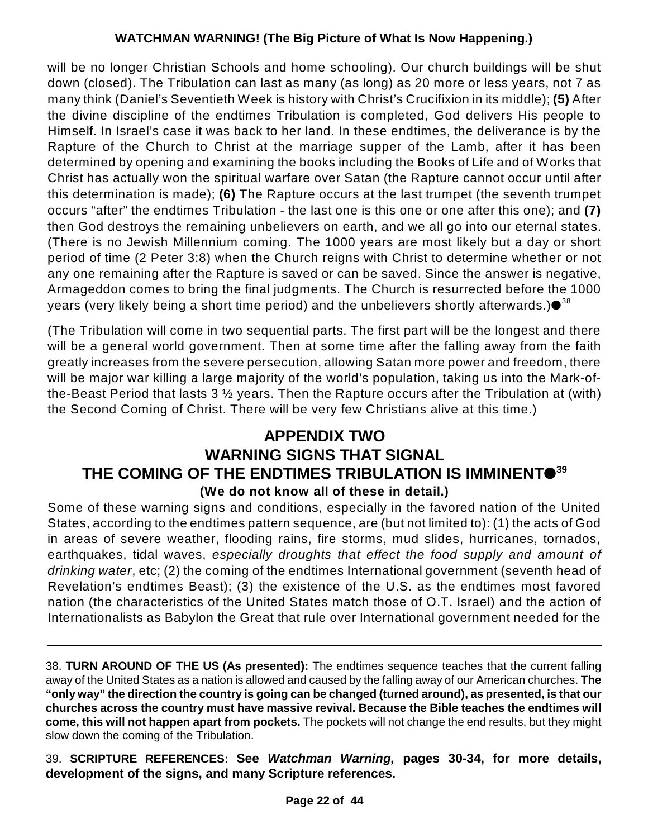will be no longer Christian Schools and home schooling). Our church buildings will be shut down (closed). The Tribulation can last as many (as long) as 20 more or less years, not 7 as many think (Daniel's Seventieth Week is history with Christ's Crucifixion in its middle); **(5)** After the divine discipline of the endtimes Tribulation is completed, God delivers His people to Himself. In Israel's case it was back to her land. In these endtimes, the deliverance is by the Rapture of the Church to Christ at the marriage supper of the Lamb, after it has been determined by opening and examining the books including the Books of Life and of Works that Christ has actually won the spiritual warfare over Satan (the Rapture cannot occur until after this determination is made); **(6)** The Rapture occurs at the last trumpet (the seventh trumpet occurs "after" the endtimes Tribulation - the last one is this one or one after this one); and **(7)** then God destroys the remaining unbelievers on earth, and we all go into our eternal states. (There is no Jewish Millennium coming. The 1000 years are most likely but a day or short period of time (2 Peter 3:8) when the Church reigns with Christ to determine whether or not any one remaining after the Rapture is saved or can be saved. Since the answer is negative, Armageddon comes to bring the final judgments. The Church is resurrected before the 1000 years (very likely being a short time period) and the unbelievers shortly afterwards.) $\bullet^{38}$ 

(The Tribulation will come in two sequential parts. The first part will be the longest and there will be a general world government. Then at some time after the falling away from the faith greatly increases from the severe persecution, allowing Satan more power and freedom, there will be major war killing a large majority of the world's population, taking us into the Mark-ofthe-Beast Period that lasts 3 ½ years. Then the Rapture occurs after the Tribulation at (with) the Second Coming of Christ. There will be very few Christians alive at this time.)

### **APPENDIX TWO WARNING SIGNS THAT SIGNAL THE COMING OF THE ENDTIMES TRIBULATION IS IMMINENT 39 (We do not know all of these in detail.)**

Some of these warning signs and conditions, especially in the favored nation of the United States, according to the endtimes pattern sequence, are (but not limited to): (1) the acts of God in areas of severe weather, flooding rains, fire storms, mud slides, hurricanes, tornados, earthquakes, tidal waves, *especially droughts that effect the food supply and amount of drinking water*, etc; (2) the coming of the endtimes International government (seventh head of Revelation's endtimes Beast); (3) the existence of the U.S. as the endtimes most favored nation (the characteristics of the United States match those of O.T. Israel) and the action of Internationalists as Babylon the Great that rule over International government needed for the

38. **TURN AROUND OF THE US (As presented):** The endtimes sequence teaches that the current falling away of the United States as a nation is allowed and caused by the falling away of our American churches. **The "only way" the direction the country is going can be changed (turned around), as presented, is that our churches across the country must have massive revival. Because the Bible teaches the endtimes will come, this will not happen apart from pockets.** The pockets will not change the end results, but they might slow down the coming of the Tribulation.

39. **SCRIPTURE REFERENCES: See** *Watchman Warning,* **pages 30-34, for more details, development of the signs, and many Scripture references.**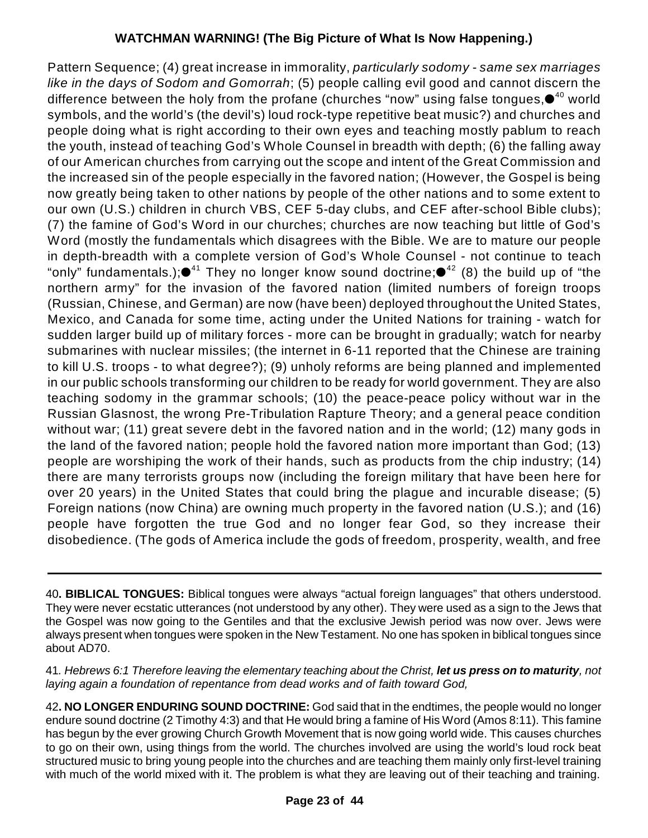Pattern Sequence; (4) great increase in immorality, *particularly sodomy - same sex marriages like in the days of Sodom and Gomorrah*; (5) people calling evil good and cannot discern the difference between the holy from the profane (churches "now" using false tongues, $\bullet^{_{40}}$  world symbols, and the world's (the devil's) loud rock-type repetitive beat music?) and churches and people doing what is right according to their own eyes and teaching mostly pablum to reach the youth, instead of teaching God's Whole Counsel in breadth with depth; (6) the falling away of our American churches from carrying out the scope and intent of the Great Commission and the increased sin of the people especially in the favored nation; (However, the Gospel is being now greatly being taken to other nations by people of the other nations and to some extent to our own (U.S.) children in church VBS, CEF 5-day clubs, and CEF after-school Bible clubs); (7) the famine of God's Word in our churches; churches are now teaching but little of God's Word (mostly the fundamentals which disagrees with the Bible. We are to mature our people in depth-breadth with a complete version of God's Whole Counsel - not continue to teach "only" fundamentals.); $\bullet^{41}$  They no longer know sound doctrine; $\bullet^{42}$  (8) the build up of "the northern army" for the invasion of the favored nation (limited numbers of foreign troops (Russian, Chinese, and German) are now (have been) deployed throughout the United States, Mexico, and Canada for some time, acting under the United Nations for training - watch for sudden larger build up of military forces - more can be brought in gradually; watch for nearby submarines with nuclear missiles; (the internet in 6-11 reported that the Chinese are training to kill U.S. troops - to what degree?); (9) unholy reforms are being planned and implemented in our public schools transforming our children to be ready for world government. They are also teaching sodomy in the grammar schools; (10) the peace-peace policy without war in the Russian Glasnost, the wrong Pre-Tribulation Rapture Theory; and a general peace condition without war; (11) great severe debt in the favored nation and in the world; (12) many gods in the land of the favored nation; people hold the favored nation more important than God; (13) people are worshiping the work of their hands, such as products from the chip industry; (14) there are many terrorists groups now (including the foreign military that have been here for over 20 years) in the United States that could bring the plague and incurable disease; (5) Foreign nations (now China) are owning much property in the favored nation (U.S.); and (16) people have forgotten the true God and no longer fear God, so they increase their disobedience. (The gods of America include the gods of freedom, prosperity, wealth, and free

40**. BIBLICAL TONGUES:** Biblical tongues were always "actual foreign languages" that others understood. They were never ecstatic utterances (not understood by any other). They were used as a sign to the Jews that the Gospel was now going to the Gentiles and that the exclusive Jewish period was now over. Jews were always present when tongues were spoken in the New Testament. No one has spoken in biblical tongues since about AD70.

41*. Hebrews 6:1 Therefore leaving the elementary teaching about the Christ, let us press on to maturity, not laying again a foundation of repentance from dead works and of faith toward God,*

42**. NO LONGER ENDURING SOUND DOCTRINE:** God said that in the endtimes, the people would no longer endure sound doctrine (2 Timothy 4:3) and that He would bring a famine of His Word (Amos 8:11). This famine has begun by the ever growing Church Growth Movement that is now going world wide. This causes churches to go on their own, using things from the world. The churches involved are using the world's loud rock beat structured music to bring young people into the churches and are teaching them mainly only first-level training with much of the world mixed with it. The problem is what they are leaving out of their teaching and training.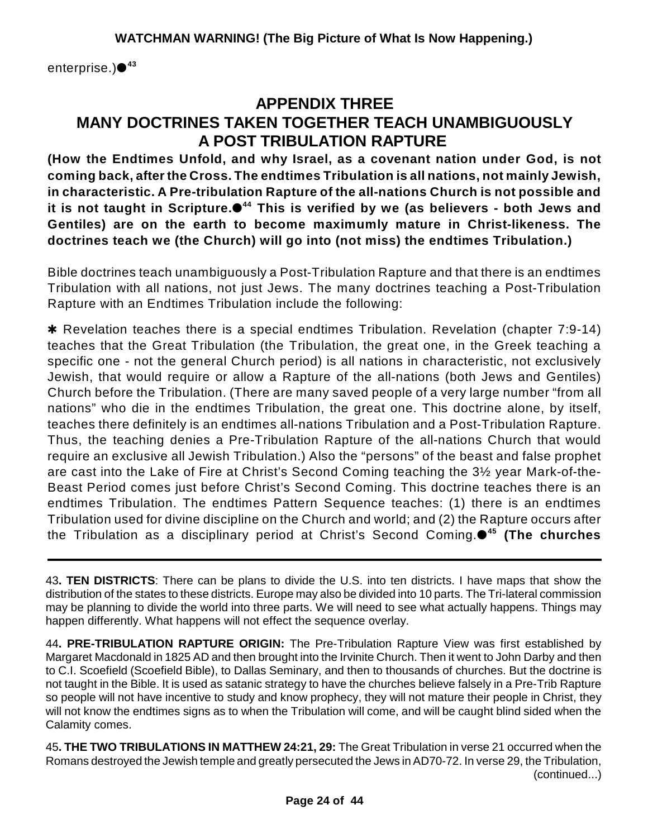enterprise.) **43**

# **APPENDIX THREE MANY DOCTRINES TAKEN TOGETHER TEACH UNAMBIGUOUSLY A POST TRIBULATION RAPTURE**

**(How the Endtimes Unfold, and why Israel, as a covenant nation under God, is not coming back, after the Cross. The endtimes Tribulation is all nations, not mainly Jewish, in characteristic. A Pre-tribulation Rapture of the all-nations Church is not possible and it is not taught in Scripture. This is verified by we (as believers - both Jews and 44 Gentiles) are on the earth to become maximumly mature in Christ-likeness. The doctrines teach we (the Church) will go into (not miss) the endtimes Tribulation.)**

Bible doctrines teach unambiguously a Post-Tribulation Rapture and that there is an endtimes Tribulation with all nations, not just Jews. The many doctrines teaching a Post-Tribulation Rapture with an Endtimes Tribulation include the following:

**\*** Revelation teaches there is a special endtimes Tribulation. Revelation (chapter 7:9-14) teaches that the Great Tribulation (the Tribulation, the great one, in the Greek teaching a specific one - not the general Church period) is all nations in characteristic, not exclusively Jewish, that would require or allow a Rapture of the all-nations (both Jews and Gentiles) Church before the Tribulation. (There are many saved people of a very large number "from all nations" who die in the endtimes Tribulation, the great one. This doctrine alone, by itself, teaches there definitely is an endtimes all-nations Tribulation and a Post-Tribulation Rapture. Thus, the teaching denies a Pre-Tribulation Rapture of the all-nations Church that would require an exclusive all Jewish Tribulation.) Also the "persons" of the beast and false prophet are cast into the Lake of Fire at Christ's Second Coming teaching the 3½ year Mark-of-the-Beast Period comes just before Christ's Second Coming. This doctrine teaches there is an endtimes Tribulation. The endtimes Pattern Sequence teaches: (1) there is an endtimes Tribulation used for divine discipline on the Church and world; and (2) the Rapture occurs after the Tribulation as a disciplinary period at Christ's Second Coming. **(The churches 45**

43**. TEN DISTRICTS**: There can be plans to divide the U.S. into ten districts. I have maps that show the distribution of the states to these districts. Europe may also be divided into 10 parts. The Tri-lateral commission may be planning to divide the world into three parts. We will need to see what actually happens. Things may happen differently. What happens will not effect the sequence overlay.

44**. PRE-TRIBULATION RAPTURE ORIGIN:** The Pre-Tribulation Rapture View was first established by Margaret Macdonald in 1825 AD and then brought into the Irvinite Church. Then it went to John Darby and then to C.I. Scoefield (Scoefield Bible), to Dallas Seminary, and then to thousands of churches. But the doctrine is not taught in the Bible. It is used as satanic strategy to have the churches believe falsely in a Pre-Trib Rapture so people will not have incentive to study and know prophecy, they will not mature their people in Christ, they will not know the endtimes signs as to when the Tribulation will come, and will be caught blind sided when the Calamity comes.

45**. THE TWO TRIBULATIONS IN MATTHEW 24:21, 29:** The Great Tribulation in verse 21 occurred when the Romans destroyed the Jewish temple and greatly persecuted the Jews in AD70-72. In verse 29, the Tribulation, (continued...)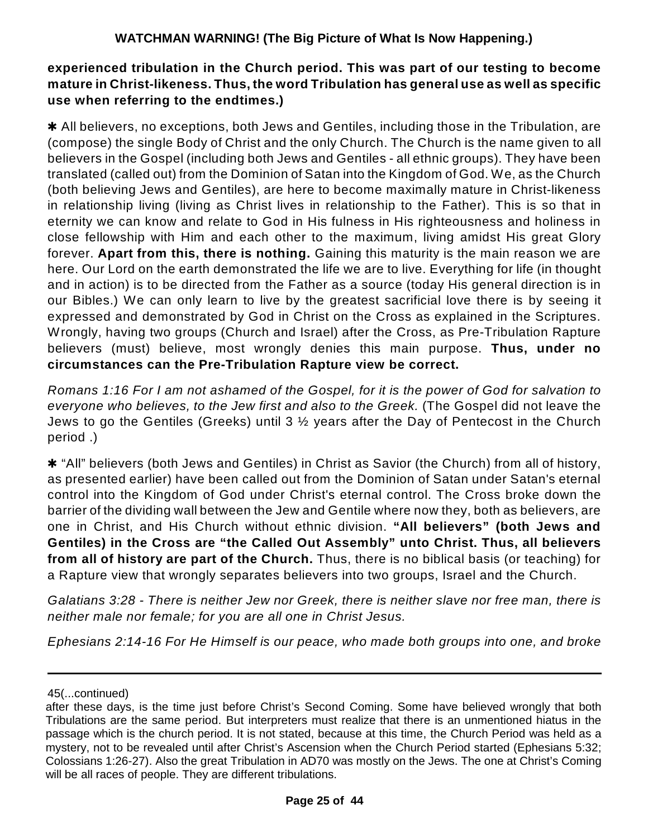#### **experienced tribulation in the Church period. This was part of our testing to become mature in Christ-likeness. Thus, the word Tribulation has general use as well as specific use when referring to the endtimes.)**

\* All believers, no exceptions, both Jews and Gentiles, including those in the Tribulation, are (compose) the single Body of Christ and the only Church. The Church is the name given to all believers in the Gospel (including both Jews and Gentiles - all ethnic groups). They have been translated (called out) from the Dominion of Satan into the Kingdom of God. We, as the Church (both believing Jews and Gentiles), are here to become maximally mature in Christ-likeness in relationship living (living as Christ lives in relationship to the Father). This is so that in eternity we can know and relate to God in His fulness in His righteousness and holiness in close fellowship with Him and each other to the maximum, living amidst His great Glory forever. **Apart from this, there is nothing.** Gaining this maturity is the main reason we are here. Our Lord on the earth demonstrated the life we are to live. Everything for life (in thought and in action) is to be directed from the Father as a source (today His general direction is in our Bibles.) We can only learn to live by the greatest sacrificial love there is by seeing it expressed and demonstrated by God in Christ on the Cross as explained in the Scriptures. Wrongly, having two groups (Church and Israel) after the Cross, as Pre-Tribulation Rapture believers (must) believe, most wrongly denies this main purpose. **Thus, under no circumstances can the Pre-Tribulation Rapture view be correct.**

Romans 1:16 For I am not ashamed of the Gospel, for it is the power of God for salvation to *everyone who believes, to the Jew first and also to the Greek.* (The Gospel did not leave the Jews to go the Gentiles (Greeks) until 3 ½ years after the Day of Pentecost in the Church period .)

**\*** "All" believers (both Jews and Gentiles) in Christ as Savior (the Church) from all of history, as presented earlier) have been called out from the Dominion of Satan under Satan's eternal control into the Kingdom of God under Christ's eternal control. The Cross broke down the barrier of the dividing wall between the Jew and Gentile where now they, both as believers, are one in Christ, and His Church without ethnic division. **"All believers" (both Jews and Gentiles) in the Cross are "the Called Out Assembly" unto Christ. Thus, all believers from all of history are part of the Church.** Thus, there is no biblical basis (or teaching) for a Rapture view that wrongly separates believers into two groups, Israel and the Church.

*Galatians 3:28 - There is neither Jew nor Greek, there is neither slave nor free man, there is neither male nor female; for you are all one in Christ Jesus.*

*Ephesians 2:14-16 For He Himself is our peace, who made both groups into one, and broke*

<sup>45(...</sup>continued)

after these days, is the time just before Christ's Second Coming. Some have believed wrongly that both Tribulations are the same period. But interpreters must realize that there is an unmentioned hiatus in the passage which is the church period. It is not stated, because at this time, the Church Period was held as a mystery, not to be revealed until after Christ's Ascension when the Church Period started (Ephesians 5:32; Colossians 1:26-27). Also the great Tribulation in AD70 was mostly on the Jews. The one at Christ's Coming will be all races of people. They are different tribulations.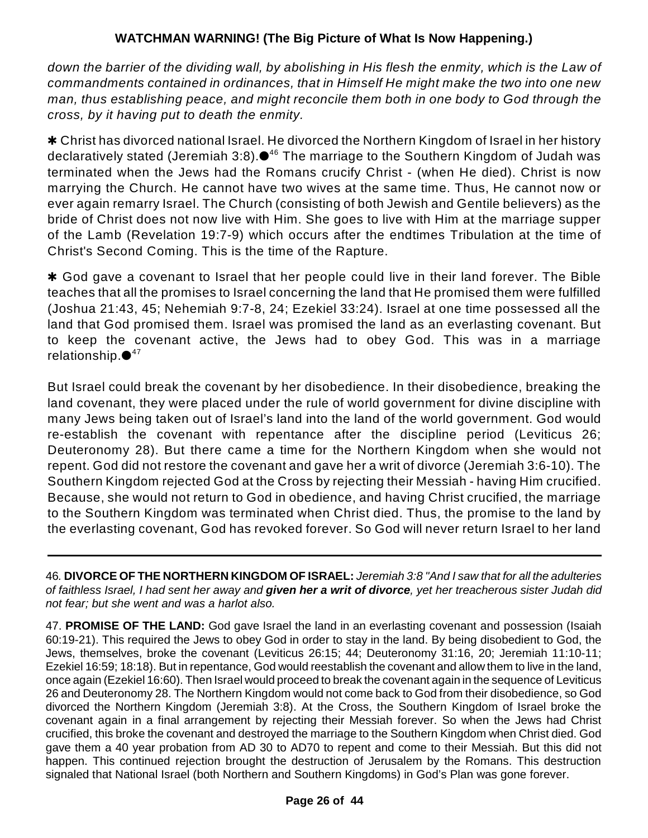*down the barrier of the dividing wall, by abolishing in His flesh the enmity, which is the Law of commandments contained in ordinances, that in Himself He might make the two into one new man, thus establishing peace, and might reconcile them both in one body to God through the cross, by it having put to death the enmity.*

\* Christ has divorced national Israel. He divorced the Northern Kingdom of Israel in her history declaratively stated (Jeremiah 3:8). $\bullet^{46}$  The marriage to the Southern Kingdom of Judah was terminated when the Jews had the Romans crucify Christ - (when He died). Christ is now marrying the Church. He cannot have two wives at the same time. Thus, He cannot now or ever again remarry Israel. The Church (consisting of both Jewish and Gentile believers) as the bride of Christ does not now live with Him. She goes to live with Him at the marriage supper of the Lamb (Revelation 19:7-9) which occurs after the endtimes Tribulation at the time of Christ's Second Coming. This is the time of the Rapture.

\* God gave a covenant to Israel that her people could live in their land forever. The Bible teaches that all the promises to Israel concerning the land that He promised them were fulfilled (Joshua 21:43, 45; Nehemiah 9:7-8, 24; Ezekiel 33:24). Israel at one time possessed all the land that God promised them. Israel was promised the land as an everlasting covenant. But to keep the covenant active, the Jews had to obey God. This was in a marriage relationship. $\bullet^{47}$ 

But Israel could break the covenant by her disobedience. In their disobedience, breaking the land covenant, they were placed under the rule of world government for divine discipline with many Jews being taken out of Israel's land into the land of the world government. God would re-establish the covenant with repentance after the discipline period (Leviticus 26; Deuteronomy 28). But there came a time for the Northern Kingdom when she would not repent. God did not restore the covenant and gave her a writ of divorce (Jeremiah 3:6-10). The Southern Kingdom rejected God at the Cross by rejecting their Messiah - having Him crucified. Because, she would not return to God in obedience, and having Christ crucified, the marriage to the Southern Kingdom was terminated when Christ died. Thus, the promise to the land by the everlasting covenant, God has revoked forever. So God will never return Israel to her land

46*.* **DIVORCE OF THE NORTHERN KINGDOM OF ISRAEL:** *Jeremiah 3:8 "And I saw that for all the adulteries of faithless Israel, I had sent her away and given her a writ of divorce, yet her treacherous sister Judah did not fear; but she went and was a harlot also.*

47. **PROMISE OF THE LAND:** God gave Israel the land in an everlasting covenant and possession (Isaiah 60:19-21). This required the Jews to obey God in order to stay in the land. By being disobedient to God, the Jews, themselves, broke the covenant (Leviticus 26:15; 44; Deuteronomy 31:16, 20; Jeremiah 11:10-11; Ezekiel 16:59; 18:18). But in repentance, God would reestablish the covenant and allow them to live in the land, once again (Ezekiel 16:60). Then Israel would proceed to break the covenant again in the sequence of Leviticus 26 and Deuteronomy 28. The Northern Kingdom would not come back to God from their disobedience, so God divorced the Northern Kingdom (Jeremiah 3:8). At the Cross, the Southern Kingdom of Israel broke the covenant again in a final arrangement by rejecting their Messiah forever. So when the Jews had Christ crucified, this broke the covenant and destroyed the marriage to the Southern Kingdom when Christ died. God gave them a 40 year probation from AD 30 to AD70 to repent and come to their Messiah. But this did not happen. This continued rejection brought the destruction of Jerusalem by the Romans. This destruction signaled that National Israel (both Northern and Southern Kingdoms) in God's Plan was gone forever.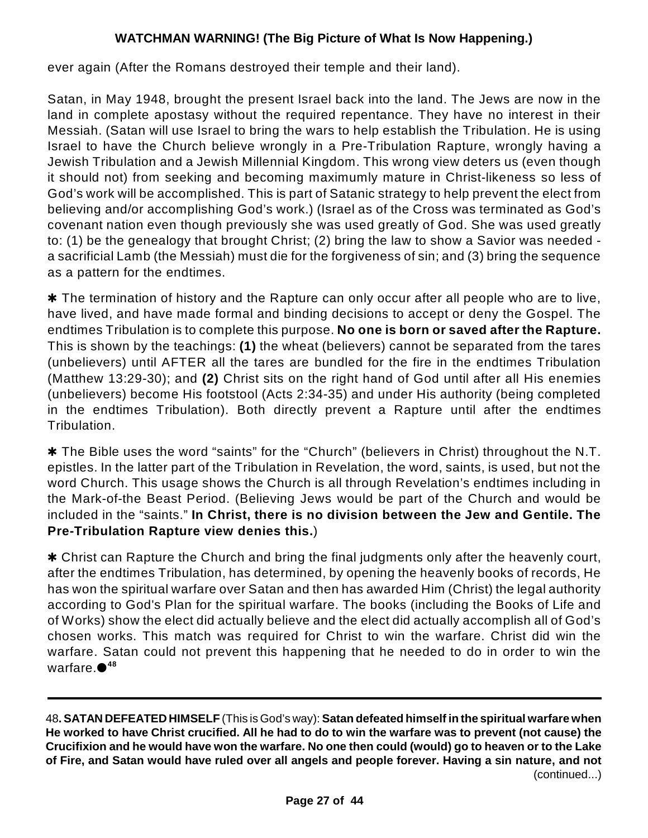ever again (After the Romans destroyed their temple and their land).

Satan, in May 1948, brought the present Israel back into the land. The Jews are now in the land in complete apostasy without the required repentance. They have no interest in their Messiah. (Satan will use Israel to bring the wars to help establish the Tribulation. He is using Israel to have the Church believe wrongly in a Pre-Tribulation Rapture, wrongly having a Jewish Tribulation and a Jewish Millennial Kingdom. This wrong view deters us (even though it should not) from seeking and becoming maximumly mature in Christ-likeness so less of God's work will be accomplished. This is part of Satanic strategy to help prevent the elect from believing and/or accomplishing God's work.) (Israel as of the Cross was terminated as God's covenant nation even though previously she was used greatly of God. She was used greatly to: (1) be the genealogy that brought Christ; (2) bring the law to show a Savior was needed a sacrificial Lamb (the Messiah) must die for the forgiveness of sin; and (3) bring the sequence as a pattern for the endtimes.

 $*$  The termination of history and the Rapture can only occur after all people who are to live, have lived, and have made formal and binding decisions to accept or deny the Gospel. The endtimes Tribulation is to complete this purpose. **No one is born or saved after the Rapture.** This is shown by the teachings: **(1)** the wheat (believers) cannot be separated from the tares (unbelievers) until AFTER all the tares are bundled for the fire in the endtimes Tribulation (Matthew 13:29-30); and **(2)** Christ sits on the right hand of God until after all His enemies (unbelievers) become His footstool (Acts 2:34-35) and under His authority (being completed in the endtimes Tribulation). Both directly prevent a Rapture until after the endtimes Tribulation.

\* The Bible uses the word "saints" for the "Church" (believers in Christ) throughout the N.T. epistles. In the latter part of the Tribulation in Revelation, the word, saints, is used, but not the word Church. This usage shows the Church is all through Revelation's endtimes including in the Mark-of-the Beast Period. (Believing Jews would be part of the Church and would be included in the "saints." **In Christ, there is no division between the Jew and Gentile. The Pre-Tribulation Rapture view denies this.**)

\* Christ can Rapture the Church and bring the final judgments only after the heavenly court, after the endtimes Tribulation, has determined, by opening the heavenly books of records, He has won the spiritual warfare over Satan and then has awarded Him (Christ) the legal authority according to God's Plan for the spiritual warfare. The books (including the Books of Life and of Works) show the elect did actually believe and the elect did actually accomplish all of God's chosen works. This match was required for Christ to win the warfare. Christ did win the warfare. Satan could not prevent this happening that he needed to do in order to win the warfare. **48**

48**. SATAN DEFEATED HIMSELF** (This is God's way): **Satan defeated himself in the spiritual warfare when He worked to have Christ crucified. All he had to do to win the warfare was to prevent (not cause) the Crucifixion and he would have won the warfare. No one then could (would) go to heaven or to the Lake of Fire, and Satan would have ruled over all angels and people forever. Having a sin nature, and not** (continued...)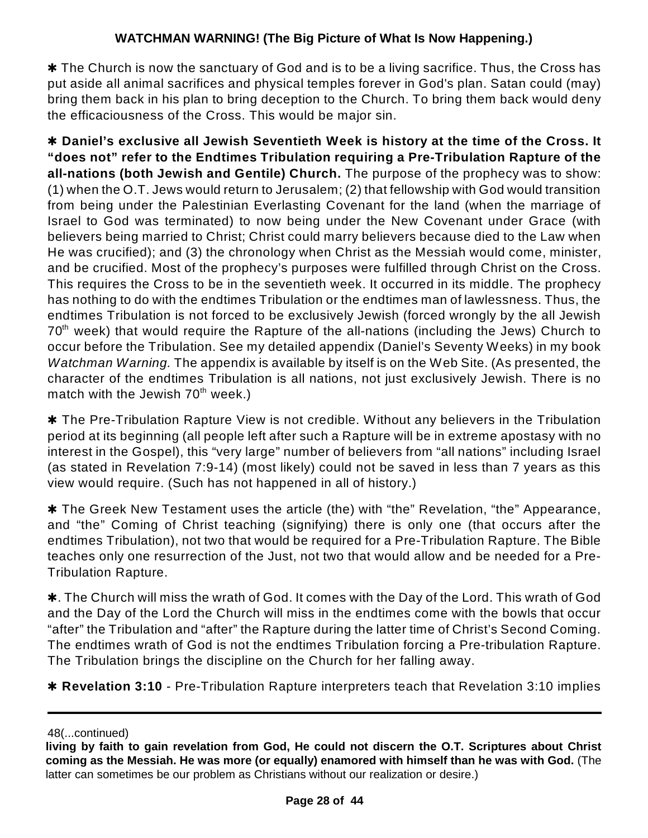$*$  The Church is now the sanctuary of God and is to be a living sacrifice. Thus, the Cross has put aside all animal sacrifices and physical temples forever in God's plan. Satan could (may) bring them back in his plan to bring deception to the Church. To bring them back would deny the efficaciousness of the Cross. This would be major sin.

r **Daniel's exclusive all Jewish Seventieth Week is history at the time of the Cross. It "does not" refer to the Endtimes Tribulation requiring a Pre-Tribulation Rapture of the all-nations (both Jewish and Gentile) Church.** The purpose of the prophecy was to show: (1) when the O.T. Jews would return to Jerusalem; (2) that fellowship with God would transition from being under the Palestinian Everlasting Covenant for the land (when the marriage of Israel to God was terminated) to now being under the New Covenant under Grace (with believers being married to Christ; Christ could marry believers because died to the Law when He was crucified); and (3) the chronology when Christ as the Messiah would come, minister, and be crucified. Most of the prophecy's purposes were fulfilled through Christ on the Cross. This requires the Cross to be in the seventieth week. It occurred in its middle. The prophecy has nothing to do with the endtimes Tribulation or the endtimes man of lawlessness. Thus, the endtimes Tribulation is not forced to be exclusively Jewish (forced wrongly by the all Jewish  $70<sup>th</sup>$  week) that would require the Rapture of the all-nations (including the Jews) Church to occur before the Tribulation. See my detailed appendix (Daniel's Seventy Weeks) in my book *Watchman Warning.* The appendix is available by itself is on the Web Site. (As presented, the character of the endtimes Tribulation is all nations, not just exclusively Jewish. There is no match with the Jewish 70<sup>th</sup> week.)

**\*** The Pre-Tribulation Rapture View is not credible. Without any believers in the Tribulation period at its beginning (all people left after such a Rapture will be in extreme apostasy with no interest in the Gospel), this "very large" number of believers from "all nations" including Israel (as stated in Revelation 7:9-14) (most likely) could not be saved in less than 7 years as this view would require. (Such has not happened in all of history.)

**\*** The Greek New Testament uses the article (the) with "the" Revelation, "the" Appearance, and "the" Coming of Christ teaching (signifying) there is only one (that occurs after the endtimes Tribulation), not two that would be required for a Pre-Tribulation Rapture. The Bible teaches only one resurrection of the Just, not two that would allow and be needed for a Pre-Tribulation Rapture.

 $\ast$ . The Church will miss the wrath of God. It comes with the Day of the Lord. This wrath of God and the Day of the Lord the Church will miss in the endtimes come with the bowls that occur "after" the Tribulation and "after" the Rapture during the latter time of Christ's Second Coming. The endtimes wrath of God is not the endtimes Tribulation forcing a Pre-tribulation Rapture. The Tribulation brings the discipline on the Church for her falling away.

**\* Revelation 3:10** - Pre-Tribulation Rapture interpreters teach that Revelation 3:10 implies

<sup>48(...</sup>continued)

**living by faith to gain revelation from God, He could not discern the O.T. Scriptures about Christ coming as the Messiah. He was more (or equally) enamored with himself than he was with God.** (The latter can sometimes be our problem as Christians without our realization or desire.)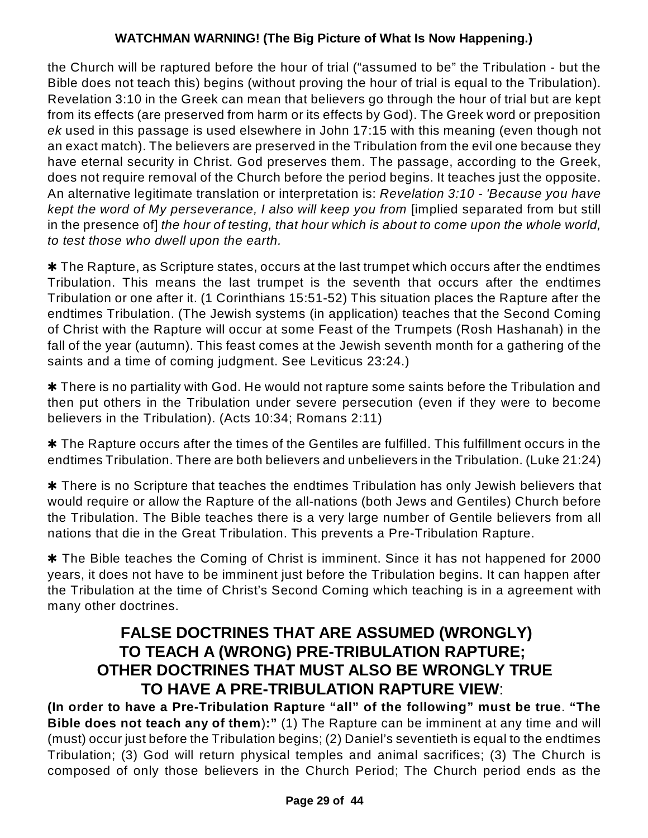the Church will be raptured before the hour of trial ("assumed to be" the Tribulation - but the Bible does not teach this) begins (without proving the hour of trial is equal to the Tribulation). Revelation 3:10 in the Greek can mean that believers go through the hour of trial but are kept from its effects (are preserved from harm or its effects by God). The Greek word or preposition *ek* used in this passage is used elsewhere in John 17:15 with this meaning (even though not an exact match). The believers are preserved in the Tribulation from the evil one because they have eternal security in Christ. God preserves them. The passage, according to the Greek, does not require removal of the Church before the period begins. It teaches just the opposite. An alternative legitimate translation or interpretation is: *Revelation 3:10 - 'Because you have kept the word of My perseverance, I also will keep you from* [implied separated from but still in the presence of] *the hour of testing, that hour which is about to come upon the whole world, to test those who dwell upon the earth.*

 $*$  The Rapture, as Scripture states, occurs at the last trumpet which occurs after the endtimes Tribulation. This means the last trumpet is the seventh that occurs after the endtimes Tribulation or one after it. (1 Corinthians 15:51-52) This situation places the Rapture after the endtimes Tribulation. (The Jewish systems (in application) teaches that the Second Coming of Christ with the Rapture will occur at some Feast of the Trumpets (Rosh Hashanah) in the fall of the year (autumn). This feast comes at the Jewish seventh month for a gathering of the saints and a time of coming judgment. See Leviticus 23:24.)

**\*** There is no partiality with God. He would not rapture some saints before the Tribulation and then put others in the Tribulation under severe persecution (even if they were to become believers in the Tribulation). (Acts 10:34; Romans 2:11)

 $*$  The Rapture occurs after the times of the Gentiles are fulfilled. This fulfillment occurs in the endtimes Tribulation. There are both believers and unbelievers in the Tribulation. (Luke 21:24)

 $*$  There is no Scripture that teaches the endtimes Tribulation has only Jewish believers that would require or allow the Rapture of the all-nations (both Jews and Gentiles) Church before the Tribulation. The Bible teaches there is a very large number of Gentile believers from all nations that die in the Great Tribulation. This prevents a Pre-Tribulation Rapture.

**\*** The Bible teaches the Coming of Christ is imminent. Since it has not happened for 2000 years, it does not have to be imminent just before the Tribulation begins. It can happen after the Tribulation at the time of Christ's Second Coming which teaching is in a agreement with many other doctrines.

### **FALSE DOCTRINES THAT ARE ASSUMED (WRONGLY) TO TEACH A (WRONG) PRE-TRIBULATION RAPTURE; OTHER DOCTRINES THAT MUST ALSO BE WRONGLY TRUE TO HAVE A PRE-TRIBULATION RAPTURE VIEW**:

**(In order to have a Pre-Tribulation Rapture "all" of the following" must be true**. **"The Bible does not teach any of them**)**:"** (1) The Rapture can be imminent at any time and will (must) occur just before the Tribulation begins; (2) Daniel's seventieth is equal to the endtimes Tribulation; (3) God will return physical temples and animal sacrifices; (3) The Church is composed of only those believers in the Church Period; The Church period ends as the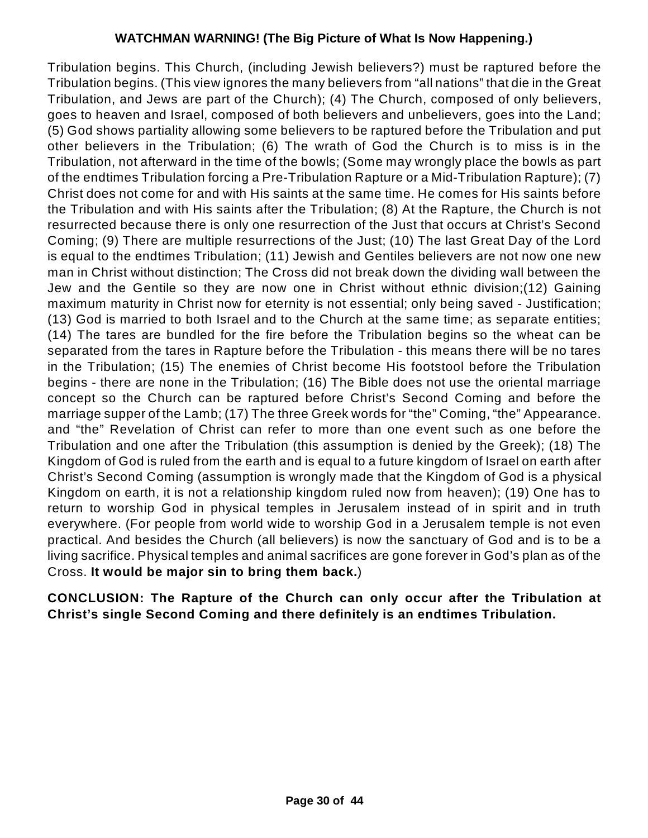Tribulation begins. This Church, (including Jewish believers?) must be raptured before the Tribulation begins. (This view ignores the many believers from "all nations" that die in the Great Tribulation, and Jews are part of the Church); (4) The Church, composed of only believers, goes to heaven and Israel, composed of both believers and unbelievers, goes into the Land; (5) God shows partiality allowing some believers to be raptured before the Tribulation and put other believers in the Tribulation; (6) The wrath of God the Church is to miss is in the Tribulation, not afterward in the time of the bowls; (Some may wrongly place the bowls as part of the endtimes Tribulation forcing a Pre-Tribulation Rapture or a Mid-Tribulation Rapture); (7) Christ does not come for and with His saints at the same time. He comes for His saints before the Tribulation and with His saints after the Tribulation; (8) At the Rapture, the Church is not resurrected because there is only one resurrection of the Just that occurs at Christ's Second Coming; (9) There are multiple resurrections of the Just; (10) The last Great Day of the Lord is equal to the endtimes Tribulation; (11) Jewish and Gentiles believers are not now one new man in Christ without distinction; The Cross did not break down the dividing wall between the Jew and the Gentile so they are now one in Christ without ethnic division;(12) Gaining maximum maturity in Christ now for eternity is not essential; only being saved - Justification; (13) God is married to both Israel and to the Church at the same time; as separate entities; (14) The tares are bundled for the fire before the Tribulation begins so the wheat can be separated from the tares in Rapture before the Tribulation - this means there will be no tares in the Tribulation; (15) The enemies of Christ become His footstool before the Tribulation begins - there are none in the Tribulation; (16) The Bible does not use the oriental marriage concept so the Church can be raptured before Christ's Second Coming and before the marriage supper of the Lamb; (17) The three Greek words for "the" Coming, "the" Appearance. and "the" Revelation of Christ can refer to more than one event such as one before the Tribulation and one after the Tribulation (this assumption is denied by the Greek); (18) The Kingdom of God is ruled from the earth and is equal to a future kingdom of Israel on earth after Christ's Second Coming (assumption is wrongly made that the Kingdom of God is a physical Kingdom on earth, it is not a relationship kingdom ruled now from heaven); (19) One has to return to worship God in physical temples in Jerusalem instead of in spirit and in truth everywhere. (For people from world wide to worship God in a Jerusalem temple is not even practical. And besides the Church (all believers) is now the sanctuary of God and is to be a living sacrifice. Physical temples and animal sacrifices are gone forever in God's plan as of the Cross. **It would be major sin to bring them back.**)

**CONCLUSION: The Rapture of the Church can only occur after the Tribulation at Christ's single Second Coming and there definitely is an endtimes Tribulation.**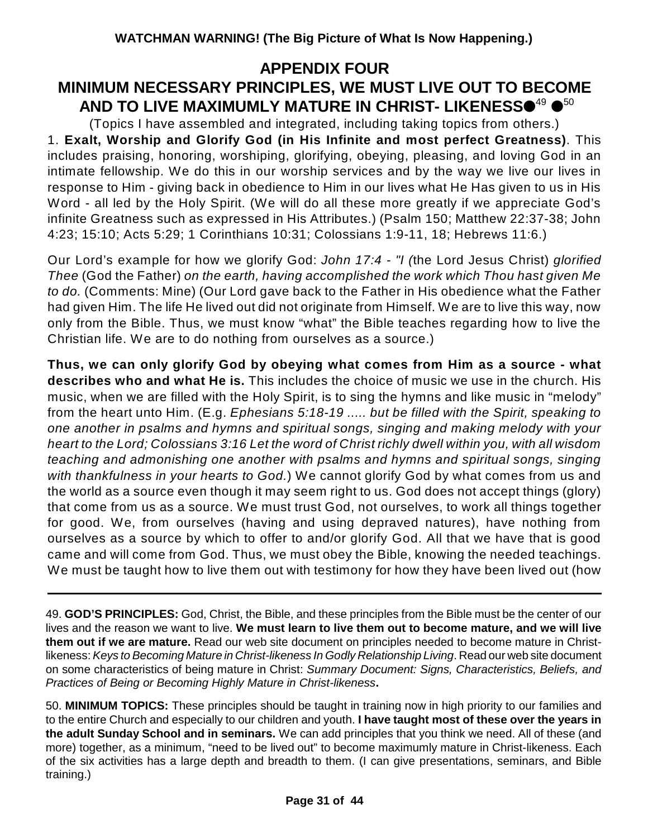### **APPENDIX FOUR MINIMUM NECESSARY PRINCIPLES, WE MUST LIVE OUT TO BECOME** AND TO LIVE MAXIMUMLY MATURE IN CHRIST- LIKENESS<sup>49</sup> <sup>650</sup>

(Topics I have assembled and integrated, including taking topics from others.) 1. **Exalt, Worship and Glorify God (in His Infinite and most perfect Greatness)**. This includes praising, honoring, worshiping, glorifying, obeying, pleasing, and loving God in an intimate fellowship. We do this in our worship services and by the way we live our lives in response to Him - giving back in obedience to Him in our lives what He Has given to us in His Word - all led by the Holy Spirit. (We will do all these more greatly if we appreciate God's infinite Greatness such as expressed in His Attributes.) (Psalm 150; Matthew 22:37-38; John 4:23; 15:10; Acts 5:29; 1 Corinthians 10:31; Colossians 1:9-11, 18; Hebrews 11:6.)

Our Lord's example for how we glorify God: *John 17:4 - "I (*the Lord Jesus Christ) *glorified Thee* (God the Father) *on the earth, having accomplished the work which Thou hast given Me to do.* (Comments: Mine) (Our Lord gave back to the Father in His obedience what the Father had given Him. The life He lived out did not originate from Himself. We are to live this way, now only from the Bible. Thus, we must know "what" the Bible teaches regarding how to live the Christian life. We are to do nothing from ourselves as a source.)

**Thus, we can only glorify God by obeying what comes from Him as a source - what describes who and what He is.** This includes the choice of music we use in the church. His music, when we are filled with the Holy Spirit, is to sing the hymns and like music in "melody" from the heart unto Him. (E.g. *Ephesians 5:18-19 ..... but be filled with the Spirit, speaking to one another in psalms and hymns and spiritual songs, singing and making melody with your heart to the Lord; Colossians 3:16 Let the word of Christ richly dwell within you, with all wisdom teaching and admonishing one another with psalms and hymns and spiritual songs, singing with thankfulness in your hearts to God.*) We cannot glorify God by what comes from us and the world as a source even though it may seem right to us. God does not accept things (glory) that come from us as a source. We must trust God, not ourselves, to work all things together for good. We, from ourselves (having and using depraved natures), have nothing from ourselves as a source by which to offer to and/or glorify God. All that we have that is good came and will come from God. Thus, we must obey the Bible, knowing the needed teachings. We must be taught how to live them out with testimony for how they have been lived out (how

49. **GOD'S PRINCIPLES:** God, Christ, the Bible, and these principles from the Bible must be the center of our lives and the reason we want to live. **We must learn to live them out to become mature, and we will live them out if we are mature.** Read our web site document on principles needed to become mature in Christlikeness: *Keys to Becoming Mature in Christ-likeness In Godly Relationship Living*. Read our web site document on some characteristics of being mature in Christ: *Summary Document: Signs, Characteristics, Beliefs, and Practices of Being or Becoming Highly Mature in Christ-likeness***.**

50. **MINIMUM TOPICS:** These principles should be taught in training now in high priority to our families and to the entire Church and especially to our children and youth. **I have taught most of these over the years in the adult Sunday School and in seminars.** We can add principles that you think we need. All of these (and more) together, as a minimum, "need to be lived out" to become maximumly mature in Christ-likeness. Each of the six activities has a large depth and breadth to them. (I can give presentations, seminars, and Bible training.)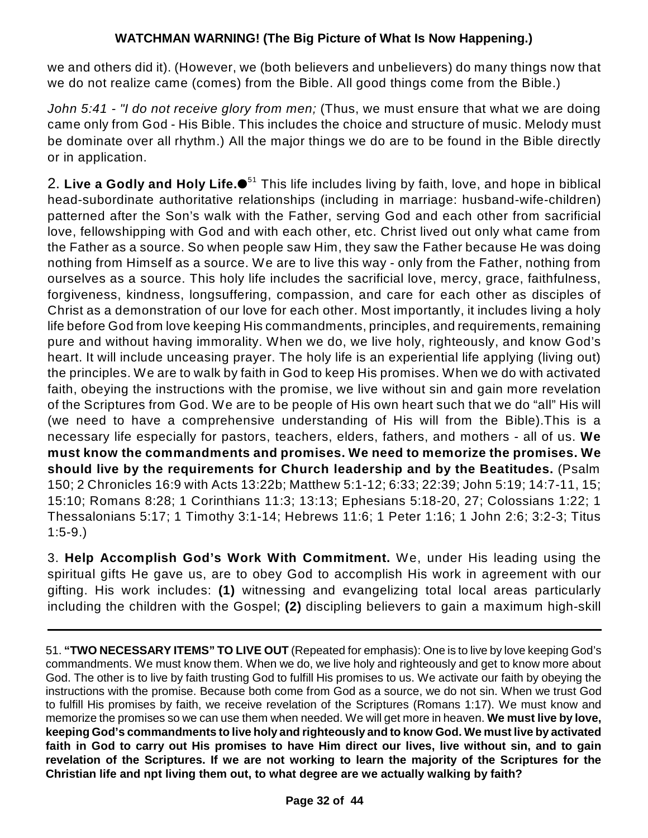we and others did it). (However, we (both believers and unbelievers) do many things now that we do not realize came (comes) from the Bible. All good things come from the Bible.)

*John 5:41 - "I do not receive glory from men;* (Thus, we must ensure that what we are doing came only from God - His Bible. This includes the choice and structure of music. Melody must be dominate over all rhythm.) All the major things we do are to be found in the Bible directly or in application.

2. **Live a Godly and Holy Life.** This life includes living by faith, love, and hope in biblical 51 head-subordinate authoritative relationships (including in marriage: husband-wife-children) patterned after the Son's walk with the Father, serving God and each other from sacrificial love, fellowshipping with God and with each other, etc. Christ lived out only what came from the Father as a source. So when people saw Him, they saw the Father because He was doing nothing from Himself as a source. We are to live this way - only from the Father, nothing from ourselves as a source. This holy life includes the sacrificial love, mercy, grace, faithfulness, forgiveness, kindness, longsuffering, compassion, and care for each other as disciples of Christ as a demonstration of our love for each other. Most importantly, it includes living a holy life before God from love keeping His commandments, principles, and requirements, remaining pure and without having immorality. When we do, we live holy, righteously, and know God's heart. It will include unceasing prayer. The holy life is an experiential life applying (living out) the principles. We are to walk by faith in God to keep His promises. When we do with activated faith, obeying the instructions with the promise, we live without sin and gain more revelation of the Scriptures from God. We are to be people of His own heart such that we do "all" His will (we need to have a comprehensive understanding of His will from the Bible).This is a necessary life especially for pastors, teachers, elders, fathers, and mothers - all of us. **We must know the commandments and promises. We need to memorize the promises. We should live by the requirements for Church leadership and by the Beatitudes.** (Psalm 150; 2 Chronicles 16:9 with Acts 13:22b; Matthew 5:1-12; 6:33; 22:39; John 5:19; 14:7-11, 15; 15:10; Romans 8:28; 1 Corinthians 11:3; 13:13; Ephesians 5:18-20, 27; Colossians 1:22; 1 Thessalonians 5:17; 1 Timothy 3:1-14; Hebrews 11:6; 1 Peter 1:16; 1 John 2:6; 3:2-3; Titus 1:5-9.)

3. **Help Accomplish God's Work With Commitment.** We, under His leading using the spiritual gifts He gave us, are to obey God to accomplish His work in agreement with our gifting. His work includes: **(1)** witnessing and evangelizing total local areas particularly including the children with the Gospel; **(2)** discipling believers to gain a maximum high-skill

51. **"TWO NECESSARY ITEMS" TO LIVE OUT** (Repeated for emphasis): One is to live by love keeping God's commandments. We must know them. When we do, we live holy and righteously and get to know more about God. The other is to live by faith trusting God to fulfill His promises to us. We activate our faith by obeying the instructions with the promise. Because both come from God as a source, we do not sin. When we trust God to fulfill His promises by faith, we receive revelation of the Scriptures (Romans 1:17). We must know and memorize the promises so we can use them when needed. We will get more in heaven. **We must live by love, keeping God's commandments to live holy and righteously and to know God. We must live by activated faith in God to carry out His promises to have Him direct our lives, live without sin, and to gain revelation of the Scriptures. If we are not working to learn the majority of the Scriptures for the Christian life and npt living them out, to what degree are we actually walking by faith?**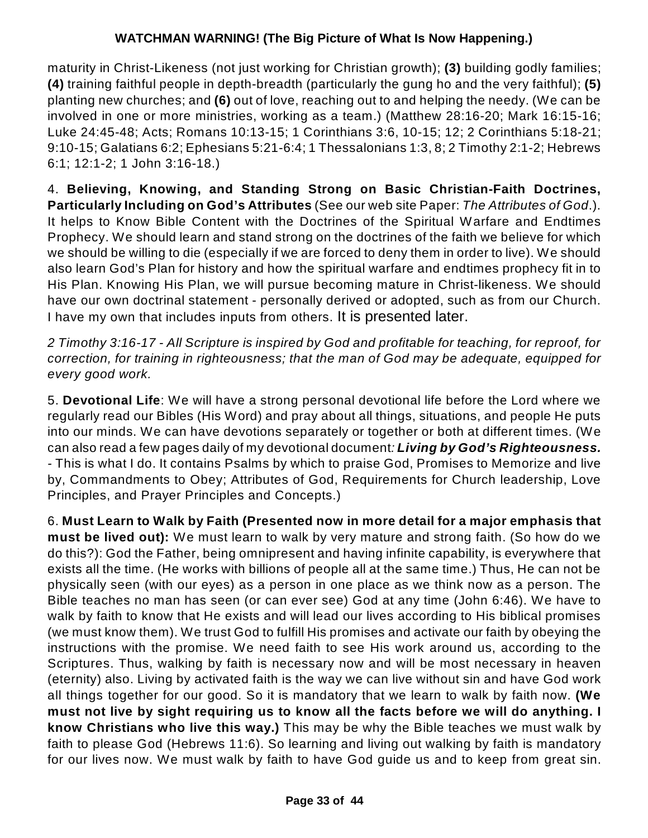maturity in Christ-Likeness (not just working for Christian growth); **(3)** building godly families; **(4)** training faithful people in depth-breadth (particularly the gung ho and the very faithful); **(5)** planting new churches; and **(6)** out of love, reaching out to and helping the needy. (We can be involved in one or more ministries, working as a team.) (Matthew 28:16-20; Mark 16:15-16; Luke 24:45-48; Acts; Romans 10:13-15; 1 Corinthians 3:6, 10-15; 12; 2 Corinthians 5:18-21; 9:10-15; Galatians 6:2; Ephesians 5:21-6:4; 1 Thessalonians 1:3, 8; 2 Timothy 2:1-2; Hebrews 6:1; 12:1-2; 1 John 3:16-18.)

4. **Believing, Knowing, and Standing Strong on Basic Christian-Faith Doctrines, Particularly Including on God's Attributes** (See our web site Paper: *The Attributes of God*.). It helps to Know Bible Content with the Doctrines of the Spiritual Warfare and Endtimes Prophecy. We should learn and stand strong on the doctrines of the faith we believe for which we should be willing to die (especially if we are forced to deny them in order to live). We should also learn God's Plan for history and how the spiritual warfare and endtimes prophecy fit in to His Plan. Knowing His Plan, we will pursue becoming mature in Christ-likeness. We should have our own doctrinal statement - personally derived or adopted, such as from our Church. I have my own that includes inputs from others. It is presented later.

*2 Timothy 3:16-17 - All Scripture is inspired by God and profitable for teaching, for reproof, for correction, for training in righteousness; that the man of God may be adequate, equipped for every good work.*

5. **Devotional Life**: We will have a strong personal devotional life before the Lord where we regularly read our Bibles (His Word) and pray about all things, situations, and people He puts into our minds. We can have devotions separately or together or both at different times. (We can also read a few pages daily of my devotional document*: Living by God's Righteousness. -* This is what I do. It contains Psalms by which to praise God, Promises to Memorize and live by, Commandments to Obey; Attributes of God, Requirements for Church leadership, Love Principles, and Prayer Principles and Concepts.)

6. **Must Learn to Walk by Faith (Presented now in more detail for a major emphasis that must be lived out):** We must learn to walk by very mature and strong faith. (So how do we do this?): God the Father, being omnipresent and having infinite capability, is everywhere that exists all the time. (He works with billions of people all at the same time.) Thus, He can not be physically seen (with our eyes) as a person in one place as we think now as a person. The Bible teaches no man has seen (or can ever see) God at any time (John 6:46). We have to walk by faith to know that He exists and will lead our lives according to His biblical promises (we must know them). We trust God to fulfill His promises and activate our faith by obeying the instructions with the promise. We need faith to see His work around us, according to the Scriptures. Thus, walking by faith is necessary now and will be most necessary in heaven (eternity) also. Living by activated faith is the way we can live without sin and have God work all things together for our good. So it is mandatory that we learn to walk by faith now. **(We must not live by sight requiring us to know all the facts before we will do anything. I know Christians who live this way.)** This may be why the Bible teaches we must walk by faith to please God (Hebrews 11:6). So learning and living out walking by faith is mandatory for our lives now. We must walk by faith to have God guide us and to keep from great sin.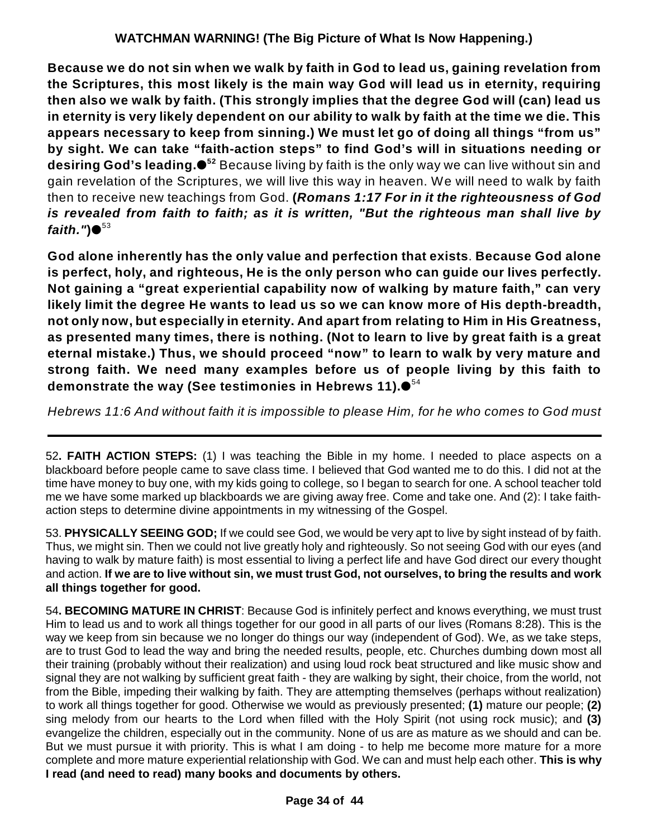**Because we do not sin when we walk by faith in God to lead us, gaining revelation from the Scriptures, this most likely is the main way God will lead us in eternity, requiring then also we walk by faith. (This strongly implies that the degree God will (can) lead us** in eternity is very likely dependent on our ability to walk by faith at the time we die. This **appears necessary to keep from sinning.) We must let go of doing all things "from us" by sight. We can take "faith-action steps" to find God's will in situations needing or desiring God's leading.●** $^{52}$  Because living by faith is the only way we can live without sin and gain revelation of the Scriptures, we will live this way in heaven. We will need to walk by faith then to receive new teachings from God. **(***Romans 1:17 For in it the righteousness of God is revealed from faith to faith; as it is written, "But the righteous man shall live by faith."***)** 53

**God alone inherently has the only value and perfection that exists**. **Because God alone is perfect, holy, and righteous, He is the only person who can guide our lives perfectly. Not gaining a "great experiential capability now of walking by mature faith," can very likely limit the degree He wants to lead us so we can know more of His depth-breadth, not only now, but especially in eternity. And apart from relating to Him in His Greatness, as presented many times, there is nothing. (Not to learn to live by great faith is a great eternal mistake.) Thus, we should proceed "now" to learn to walk by very mature and strong faith. We need many examples before us of people living by this faith to demonstrate the way (See testimonies in Hebrews 11).** 54

*Hebrews 11:6 And without faith it is impossible to please Him, for he who comes to God must*

52**. FAITH ACTION STEPS:** (1) I was teaching the Bible in my home. I needed to place aspects on a blackboard before people came to save class time. I believed that God wanted me to do this. I did not at the time have money to buy one, with my kids going to college, so I began to search for one. A school teacher told me we have some marked up blackboards we are giving away free. Come and take one. And (2): I take faithaction steps to determine divine appointments in my witnessing of the Gospel.

53. **PHYSICALLY SEEING GOD;** If we could see God, we would be very apt to live by sight instead of by faith. Thus, we might sin. Then we could not live greatly holy and righteously. So not seeing God with our eyes (and having to walk by mature faith) is most essential to living a perfect life and have God direct our every thought and action. **If we are to live without sin, we must trust God, not ourselves, to bring the results and work all things together for good.**

54**. BECOMING MATURE IN CHRIST**: Because God is infinitely perfect and knows everything, we must trust Him to lead us and to work all things together for our good in all parts of our lives (Romans 8:28). This is the way we keep from sin because we no longer do things our way (independent of God). We, as we take steps, are to trust God to lead the way and bring the needed results, people, etc. Churches dumbing down most all their training (probably without their realization) and using loud rock beat structured and like music show and signal they are not walking by sufficient great faith - they are walking by sight, their choice, from the world, not from the Bible, impeding their walking by faith. They are attempting themselves (perhaps without realization) to work all things together for good. Otherwise we would as previously presented; **(1)** mature our people; **(2)** sing melody from our hearts to the Lord when filled with the Holy Spirit (not using rock music); and **(3)** evangelize the children, especially out in the community. None of us are as mature as we should and can be. But we must pursue it with priority. This is what I am doing - to help me become more mature for a more complete and more mature experiential relationship with God. We can and must help each other. **This is why I read (and need to read) many books and documents by others.**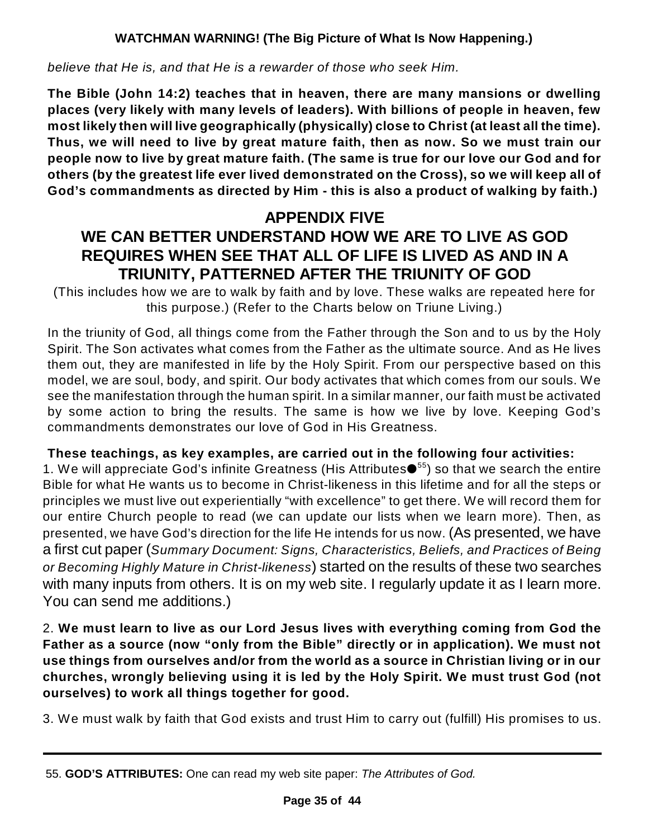*believe that He is, and that He is a rewarder of those who seek Him.*

**The Bible (John 14:2) teaches that in heaven, there are many mansions or dwelling places (very likely with many levels of leaders). With billions of people in heaven, few most likely then will live geographically (physically) close to Christ (at least all the time). Thus, we will need to live by great mature faith, then as now. So we must train our people now to live by great mature faith. (The same is true for our love our God and for others (by the greatest life ever lived demonstrated on the Cross), so we will keep all of God's commandments as directed by Him - this is also a product of walking by faith.)**

# **APPENDIX FIVE**

# **WE CAN BETTER UNDERSTAND HOW WE ARE TO LIVE AS GOD REQUIRES WHEN SEE THAT ALL OF LIFE IS LIVED AS AND IN A TRIUNITY, PATTERNED AFTER THE TRIUNITY OF GOD**

(This includes how we are to walk by faith and by love. These walks are repeated here for this purpose.) (Refer to the Charts below on Triune Living.)

In the triunity of God, all things come from the Father through the Son and to us by the Holy Spirit. The Son activates what comes from the Father as the ultimate source. And as He lives them out, they are manifested in life by the Holy Spirit. From our perspective based on this model, we are soul, body, and spirit. Our body activates that which comes from our souls. We see the manifestation through the human spirit. In a similar manner, our faith must be activated by some action to bring the results. The same is how we live by love. Keeping God's commandments demonstrates our love of God in His Greatness.

### **These teachings, as key examples, are carried out in the following four activities:**

1. We will appreciate God's infinite Greatness (His Attributes $\bullet$ <sup>55</sup>) so that we search the entire Bible for what He wants us to become in Christ-likeness in this lifetime and for all the steps or principles we must live out experientially "with excellence" to get there. We will record them for our entire Church people to read (we can update our lists when we learn more). Then, as presented, we have God's direction for the life He intends for us now. (As presented, we have a first cut paper (*Summary Document: Signs, Characteristics, Beliefs, and Practices of Being or Becoming Highly Mature in Christ-likeness*) started on the results of these two searches with many inputs from others. It is on my web site. I regularly update it as I learn more. You can send me additions.)

2. **We must learn to live as our Lord Jesus lives with everything coming from God the Father as a source (now "only from the Bible" directly or in application). We must not use things from ourselves and/or from the world as a source in Christian living or in our churches, wrongly believing using it is led by the Holy Spirit. We must trust God (not ourselves) to work all things together for good.**

3. We must walk by faith that God exists and trust Him to carry out (fulfill) His promises to us.

<sup>55.</sup> **GOD'S ATTRIBUTES:** One can read my web site paper: *The Attributes of God.*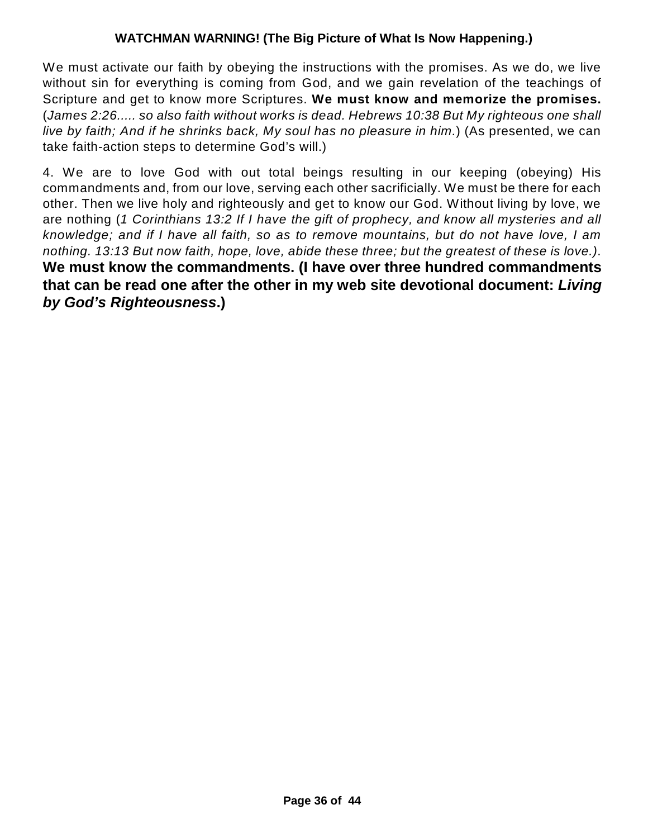We must activate our faith by obeying the instructions with the promises. As we do, we live without sin for everything is coming from God, and we gain revelation of the teachings of Scripture and get to know more Scriptures. **We must know and memorize the promises.** (*James 2:26..... so also faith without works is dead. Hebrews 10:38 But My righteous one shall live by faith; And if he shrinks back, My soul has no pleasure in him.*) (As presented, we can take faith-action steps to determine God's will.)

4. We are to love God with out total beings resulting in our keeping (obeying) His commandments and, from our love, serving each other sacrificially. We must be there for each other. Then we live holy and righteously and get to know our God. Without living by love, we are nothing (*1 Corinthians 13:2 If I have the gift of prophecy, and know all mysteries and all knowledge; and if I have all faith, so as to remove mountains, but do not have love, I am nothing. 13:13 But now faith, hope, love, abide these three; but the greatest of these is love.)*. **We must know the commandments. (I have over three hundred commandments that can be read one after the other in my web site devotional document:** *Living by God's Righteousness***.)**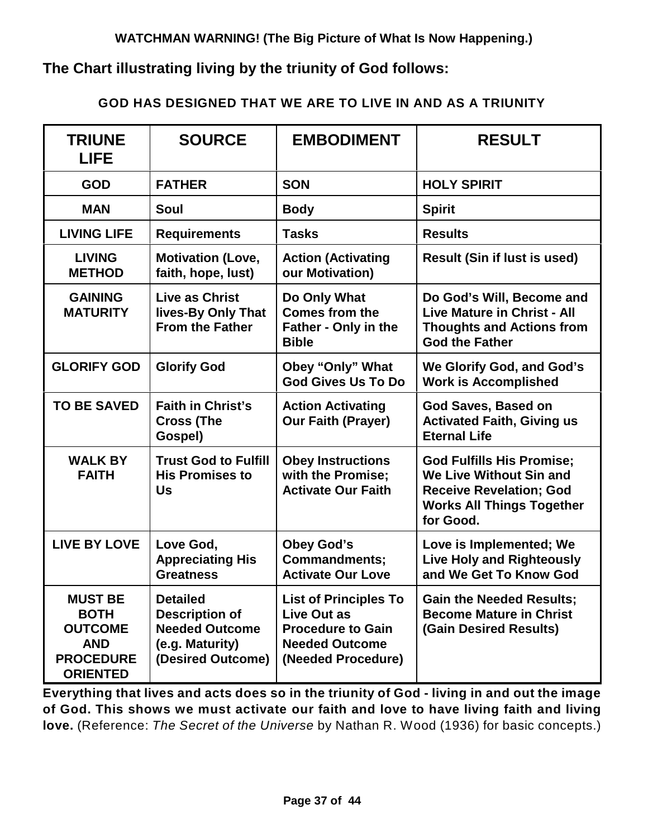### **The Chart illustrating living by the triunity of God follows:**

#### **GOD HAS DESIGNED THAT WE ARE TO LIVE IN AND AS A TRIUNITY**

| <b>TRIUNE</b><br><b>LIFE</b>                                                                         | <b>SOURCE</b>                                                                                             | <b>EMBODIMENT</b>                                                                                                             | <b>RESULT</b>                                                                                                                                         |  |
|------------------------------------------------------------------------------------------------------|-----------------------------------------------------------------------------------------------------------|-------------------------------------------------------------------------------------------------------------------------------|-------------------------------------------------------------------------------------------------------------------------------------------------------|--|
| <b>GOD</b>                                                                                           | <b>FATHER</b>                                                                                             | <b>SON</b>                                                                                                                    | <b>HOLY SPIRIT</b>                                                                                                                                    |  |
| <b>MAN</b>                                                                                           | Soul                                                                                                      | <b>Body</b>                                                                                                                   | <b>Spirit</b>                                                                                                                                         |  |
| <b>LIVING LIFE</b>                                                                                   | <b>Requirements</b>                                                                                       | <b>Tasks</b>                                                                                                                  | <b>Results</b>                                                                                                                                        |  |
| <b>LIVING</b><br><b>METHOD</b>                                                                       | <b>Motivation (Love,</b><br>faith, hope, lust)                                                            | <b>Action (Activating</b><br>our Motivation)                                                                                  | <b>Result (Sin if lust is used)</b>                                                                                                                   |  |
| <b>GAINING</b><br><b>MATURITY</b>                                                                    | <b>Live as Christ</b><br>lives-By Only That<br><b>From the Father</b>                                     | Do Only What<br><b>Comes from the</b><br>Father - Only in the<br><b>Bible</b>                                                 | Do God's Will, Become and<br><b>Live Mature in Christ - All</b><br><b>Thoughts and Actions from</b><br><b>God the Father</b>                          |  |
| <b>GLORIFY GOD</b>                                                                                   | <b>Glorify God</b>                                                                                        | Obey "Only" What<br><b>God Gives Us To Do</b>                                                                                 | We Glorify God, and God's<br><b>Work is Accomplished</b>                                                                                              |  |
| <b>TO BE SAVED</b>                                                                                   | <b>Faith in Christ's</b><br><b>Cross (The</b><br>Gospel)                                                  | <b>Action Activating</b><br><b>Our Faith (Prayer)</b>                                                                         | God Saves, Based on<br><b>Activated Faith, Giving us</b><br><b>Eternal Life</b>                                                                       |  |
| <b>WALK BY</b><br><b>FAITH</b>                                                                       | <b>Trust God to Fulfill</b><br><b>His Promises to</b><br>Us                                               | <b>Obey Instructions</b><br>with the Promise;<br><b>Activate Our Faith</b>                                                    | <b>God Fulfills His Promise;</b><br><b>We Live Without Sin and</b><br><b>Receive Revelation; God</b><br><b>Works All Things Together</b><br>for Good. |  |
| <b>LIVE BY LOVE</b>                                                                                  | Love God,<br><b>Appreciating His</b><br><b>Greatness</b>                                                  | <b>Obey God's</b><br><b>Commandments;</b><br><b>Activate Our Love</b>                                                         | Love is Implemented; We<br><b>Live Holy and Righteously</b><br>and We Get To Know God                                                                 |  |
| <b>MUST BE</b><br><b>BOTH</b><br><b>OUTCOME</b><br><b>AND</b><br><b>PROCEDURE</b><br><b>ORIENTED</b> | <b>Detailed</b><br><b>Description of</b><br><b>Needed Outcome</b><br>(e.g. Maturity)<br>(Desired Outcome) | <b>List of Principles To</b><br><b>Live Out as</b><br><b>Procedure to Gain</b><br><b>Needed Outcome</b><br>(Needed Procedure) | <b>Gain the Needed Results;</b><br><b>Become Mature in Christ</b><br>(Gain Desired Results)                                                           |  |

**Everything that lives and acts does so in the triunity of God - living in and out the image of God. This shows we must activate our faith and love to have living faith and living love.** (Reference: *The Secret of the Universe* by Nathan R. Wood (1936) for basic concepts.)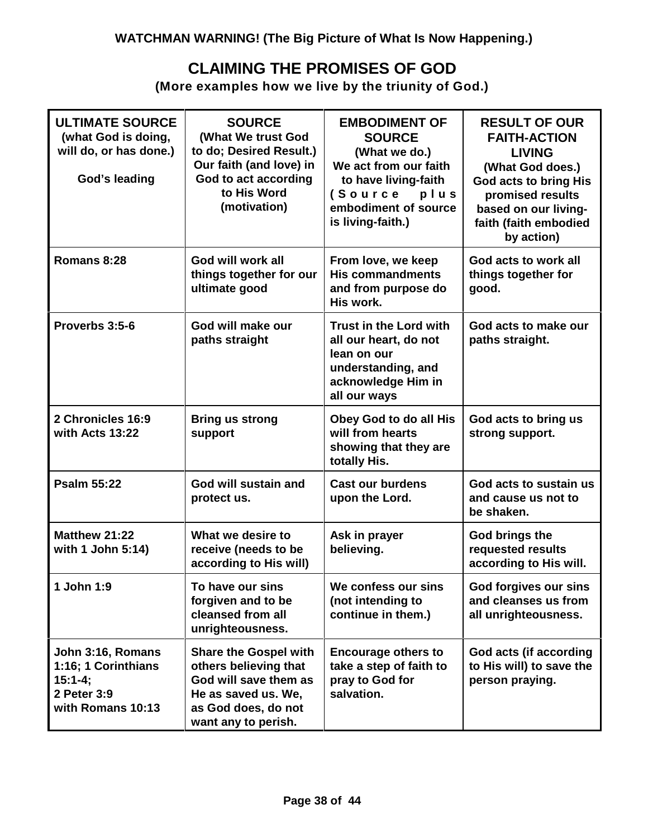### **CLAIMING THE PROMISES OF GOD**

**(More examples how we live by the triunity of God.)**

| <b>ULTIMATE SOURCE</b><br>(what God is doing,<br>will do, or has done.)<br>God's leading    | <b>SOURCE</b><br>(What We trust God<br>to do; Desired Result.)<br>Our faith (and love) in<br>God to act according<br>to His Word<br>(motivation)    | <b>EMBODIMENT OF</b><br><b>SOURCE</b><br>(What we do.)<br>We act from our faith<br>to have living-faith<br>(Source<br>plus<br>embodiment of source<br>is living-faith.) | <b>RESULT OF OUR</b><br><b>FAITH-ACTION</b><br><b>LIVING</b><br>(What God does.)<br><b>God acts to bring His</b><br>promised results<br>based on our living-<br>faith (faith embodied<br>by action) |
|---------------------------------------------------------------------------------------------|-----------------------------------------------------------------------------------------------------------------------------------------------------|-------------------------------------------------------------------------------------------------------------------------------------------------------------------------|-----------------------------------------------------------------------------------------------------------------------------------------------------------------------------------------------------|
| Romans 8:28                                                                                 | God will work all<br>things together for our<br>ultimate good                                                                                       | From love, we keep<br><b>His commandments</b><br>and from purpose do<br>His work.                                                                                       | God acts to work all<br>things together for<br>good.                                                                                                                                                |
| Proverbs 3:5-6                                                                              | God will make our<br>paths straight                                                                                                                 | <b>Trust in the Lord with</b><br>all our heart, do not<br>lean on our<br>understanding, and<br>acknowledge Him in<br>all our ways                                       | God acts to make our<br>paths straight.                                                                                                                                                             |
| 2 Chronicles 16:9<br>with Acts 13:22                                                        | <b>Bring us strong</b><br>support                                                                                                                   | Obey God to do all His<br>will from hearts<br>showing that they are<br>totally His.                                                                                     | God acts to bring us<br>strong support.                                                                                                                                                             |
| <b>Psalm 55:22</b>                                                                          | God will sustain and<br>protect us.                                                                                                                 | <b>Cast our burdens</b><br>upon the Lord.                                                                                                                               | God acts to sustain us<br>and cause us not to<br>be shaken.                                                                                                                                         |
| Matthew 21:22<br>with 1 John 5:14)                                                          | What we desire to<br>receive (needs to be<br>according to His will)                                                                                 | Ask in prayer<br>believing.                                                                                                                                             | God brings the<br>requested results<br>according to His will.                                                                                                                                       |
| 1 John 1:9                                                                                  | To have our sins<br>forgiven and to be<br>cleansed from all<br>unrighteousness.                                                                     | We confess our sins<br>(not intending to<br>continue in them.)                                                                                                          | God forgives our sins<br>and cleanses us from<br>all unrighteousness.                                                                                                                               |
| John 3:16, Romans<br>1:16; 1 Corinthians<br>$15:1 - 4;$<br>2 Peter 3:9<br>with Romans 10:13 | <b>Share the Gospel with</b><br>others believing that<br>God will save them as<br>He as saved us. We,<br>as God does, do not<br>want any to perish. | <b>Encourage others to</b><br>take a step of faith to<br>pray to God for<br>salvation.                                                                                  | God acts (if according<br>to His will) to save the<br>person praying.                                                                                                                               |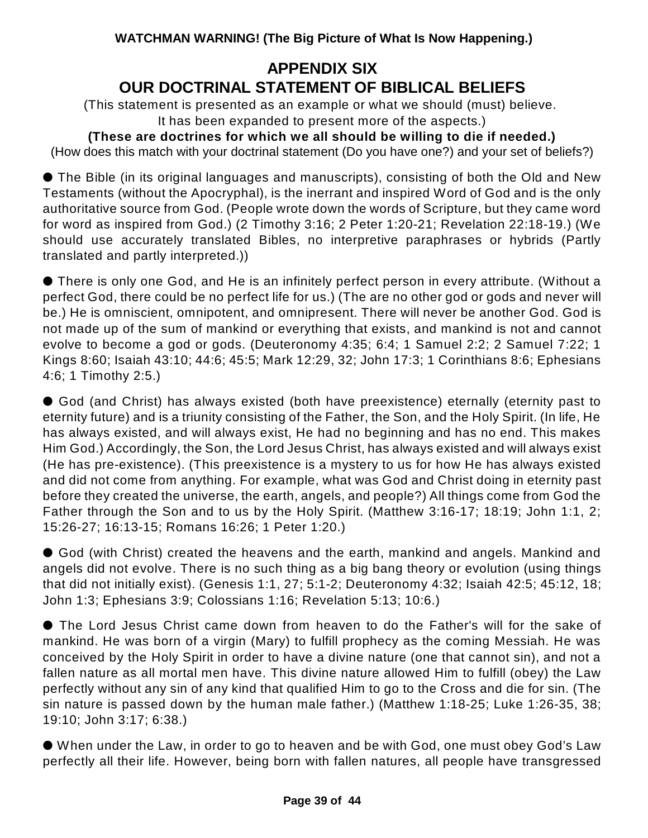# **APPENDIX SIX OUR DOCTRINAL STATEMENT OF BIBLICAL BELIEFS**

(This statement is presented as an example or what we should (must) believe. It has been expanded to present more of the aspects.)

**(These are doctrines for which we all should be willing to die if needed.)** (How does this match with your doctrinal statement (Do you have one?) and your set of beliefs?)

 The Bible (in its original languages and manuscripts), consisting of both the Old and New Testaments (without the Apocryphal), is the inerrant and inspired Word of God and is the only authoritative source from God. (People wrote down the words of Scripture, but they came word for word as inspired from God.) (2 Timothy 3:16; 2 Peter 1:20-21; Revelation 22:18-19.) (We should use accurately translated Bibles, no interpretive paraphrases or hybrids (Partly translated and partly interpreted.))

 There is only one God, and He is an infinitely perfect person in every attribute. (Without a perfect God, there could be no perfect life for us.) (The are no other god or gods and never will be.) He is omniscient, omnipotent, and omnipresent. There will never be another God. God is not made up of the sum of mankind or everything that exists, and mankind is not and cannot evolve to become a god or gods. (Deuteronomy 4:35; 6:4; 1 Samuel 2:2; 2 Samuel 7:22; 1 Kings 8:60; Isaiah 43:10; 44:6; 45:5; Mark 12:29, 32; John 17:3; 1 Corinthians 8:6; Ephesians 4:6; 1 Timothy 2:5.)

 God (and Christ) has always existed (both have preexistence) eternally (eternity past to eternity future) and is a triunity consisting of the Father, the Son, and the Holy Spirit. (In life, He has always existed, and will always exist, He had no beginning and has no end. This makes Him God.) Accordingly, the Son, the Lord Jesus Christ, has always existed and will always exist (He has pre-existence). (This preexistence is a mystery to us for how He has always existed and did not come from anything. For example, what was God and Christ doing in eternity past before they created the universe, the earth, angels, and people?) All things come from God the Father through the Son and to us by the Holy Spirit. (Matthew 3:16-17; 18:19; John 1:1, 2; 15:26-27; 16:13-15; Romans 16:26; 1 Peter 1:20.)

 God (with Christ) created the heavens and the earth, mankind and angels. Mankind and angels did not evolve. There is no such thing as a big bang theory or evolution (using things that did not initially exist). (Genesis 1:1, 27; 5:1-2; Deuteronomy 4:32; Isaiah 42:5; 45:12, 18; John 1:3; Ephesians 3:9; Colossians 1:16; Revelation 5:13; 10:6.)

 The Lord Jesus Christ came down from heaven to do the Father's will for the sake of mankind. He was born of a virgin (Mary) to fulfill prophecy as the coming Messiah. He was conceived by the Holy Spirit in order to have a divine nature (one that cannot sin), and not a fallen nature as all mortal men have. This divine nature allowed Him to fulfill (obey) the Law perfectly without any sin of any kind that qualified Him to go to the Cross and die for sin. (The sin nature is passed down by the human male father.) (Matthew 1:18-25; Luke 1:26-35, 38; 19:10; John 3:17; 6:38.)

 When under the Law, in order to go to heaven and be with God, one must obey God's Law perfectly all their life. However, being born with fallen natures, all people have transgressed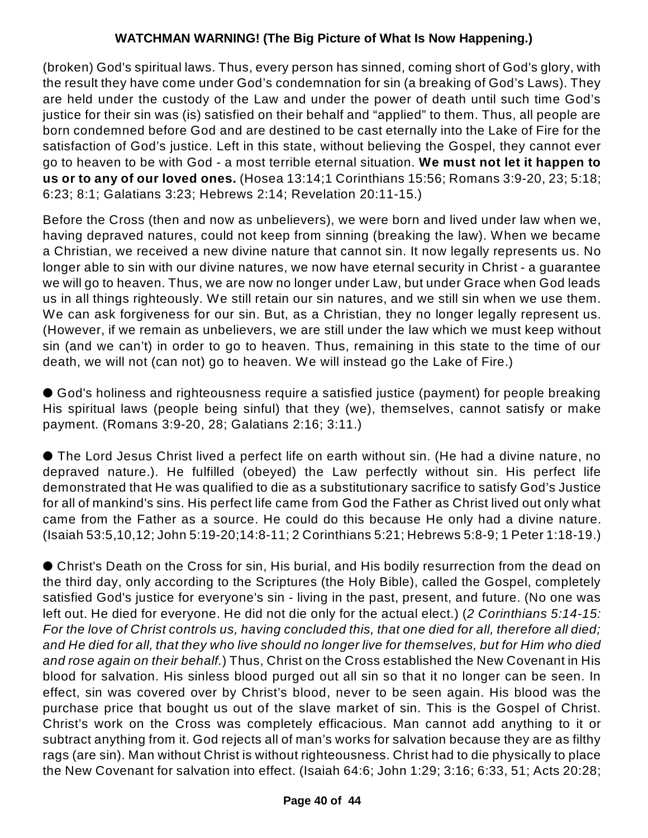(broken) God's spiritual laws. Thus, every person has sinned, coming short of God's glory, with the result they have come under God's condemnation for sin (a breaking of God's Laws). They are held under the custody of the Law and under the power of death until such time God's justice for their sin was (is) satisfied on their behalf and "applied" to them. Thus, all people are born condemned before God and are destined to be cast eternally into the Lake of Fire for the satisfaction of God's justice. Left in this state, without believing the Gospel, they cannot ever go to heaven to be with God - a most terrible eternal situation. **We must not let it happen to us or to any of our loved ones.** (Hosea 13:14;1 Corinthians 15:56; Romans 3:9-20, 23; 5:18; 6:23; 8:1; Galatians 3:23; Hebrews 2:14; Revelation 20:11-15.)

Before the Cross (then and now as unbelievers), we were born and lived under law when we, having depraved natures, could not keep from sinning (breaking the law). When we became a Christian, we received a new divine nature that cannot sin. It now legally represents us. No longer able to sin with our divine natures, we now have eternal security in Christ - a guarantee we will go to heaven. Thus, we are now no longer under Law, but under Grace when God leads us in all things righteously. We still retain our sin natures, and we still sin when we use them. We can ask forgiveness for our sin. But, as a Christian, they no longer legally represent us. (However, if we remain as unbelievers, we are still under the law which we must keep without sin (and we can't) in order to go to heaven. Thus, remaining in this state to the time of our death, we will not (can not) go to heaven. We will instead go the Lake of Fire.)

 God's holiness and righteousness require a satisfied justice (payment) for people breaking His spiritual laws (people being sinful) that they (we), themselves, cannot satisfy or make payment. (Romans 3:9-20, 28; Galatians 2:16; 3:11.)

 The Lord Jesus Christ lived a perfect life on earth without sin. (He had a divine nature, no depraved nature.). He fulfilled (obeyed) the Law perfectly without sin. His perfect life demonstrated that He was qualified to die as a substitutionary sacrifice to satisfy God's Justice for all of mankind's sins. His perfect life came from God the Father as Christ lived out only what came from the Father as a source. He could do this because He only had a divine nature. (Isaiah 53:5,10,12; John 5:19-20;14:8-11; 2 Corinthians 5:21; Hebrews 5:8-9; 1 Peter 1:18-19.)

 Christ's Death on the Cross for sin, His burial, and His bodily resurrection from the dead on the third day, only according to the Scriptures (the Holy Bible), called the Gospel, completely satisfied God's justice for everyone's sin - living in the past, present, and future. (No one was left out. He died for everyone. He did not die only for the actual elect.) (*2 Corinthians 5:14-15:* For the love of Christ controls us, having concluded this, that one died for all, therefore all died; and He died for all, that they who live should no longer live for themselves, but for Him who died *and rose again on their behalf.*) Thus, Christ on the Cross established the New Covenant in His blood for salvation. His sinless blood purged out all sin so that it no longer can be seen. In effect, sin was covered over by Christ's blood, never to be seen again. His blood was the purchase price that bought us out of the slave market of sin. This is the Gospel of Christ. Christ's work on the Cross was completely efficacious. Man cannot add anything to it or subtract anything from it. God rejects all of man's works for salvation because they are as filthy rags (are sin). Man without Christ is without righteousness. Christ had to die physically to place the New Covenant for salvation into effect. (Isaiah 64:6; John 1:29; 3:16; 6:33, 51; Acts 20:28;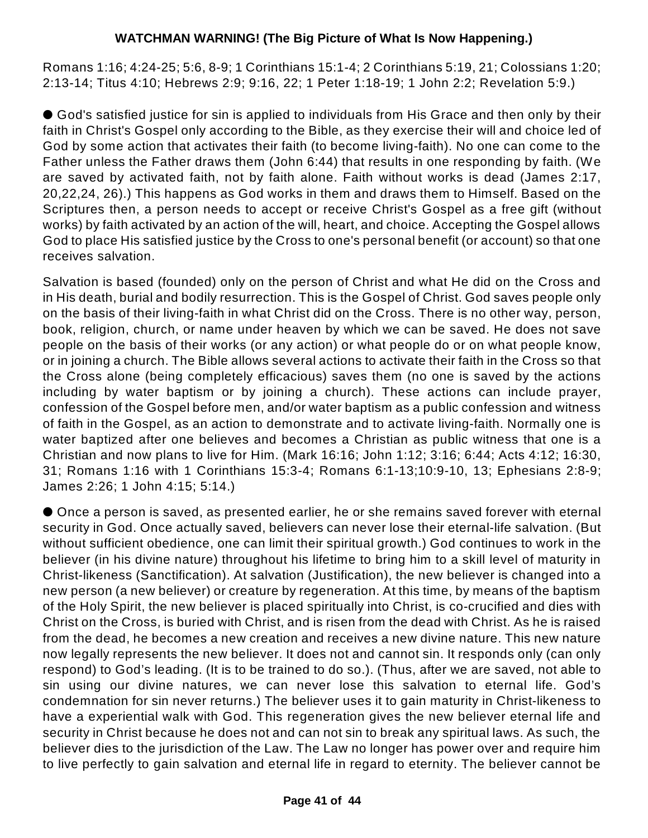Romans 1:16; 4:24-25; 5:6, 8-9; 1 Corinthians 15:1-4; 2 Corinthians 5:19, 21; Colossians 1:20; 2:13-14; Titus 4:10; Hebrews 2:9; 9:16, 22; 1 Peter 1:18-19; 1 John 2:2; Revelation 5:9.)

 God's satisfied justice for sin is applied to individuals from His Grace and then only by their faith in Christ's Gospel only according to the Bible, as they exercise their will and choice led of God by some action that activates their faith (to become living-faith). No one can come to the Father unless the Father draws them (John 6:44) that results in one responding by faith. (We are saved by activated faith, not by faith alone. Faith without works is dead (James 2:17, 20,22,24, 26).) This happens as God works in them and draws them to Himself. Based on the Scriptures then, a person needs to accept or receive Christ's Gospel as a free gift (without works) by faith activated by an action of the will, heart, and choice. Accepting the Gospel allows God to place His satisfied justice by the Cross to one's personal benefit (or account) so that one receives salvation.

Salvation is based (founded) only on the person of Christ and what He did on the Cross and in His death, burial and bodily resurrection. This is the Gospel of Christ. God saves people only on the basis of their living-faith in what Christ did on the Cross. There is no other way, person, book, religion, church, or name under heaven by which we can be saved. He does not save people on the basis of their works (or any action) or what people do or on what people know, or in joining a church. The Bible allows several actions to activate their faith in the Cross so that the Cross alone (being completely efficacious) saves them (no one is saved by the actions including by water baptism or by joining a church). These actions can include prayer, confession of the Gospel before men, and/or water baptism as a public confession and witness of faith in the Gospel, as an action to demonstrate and to activate living-faith. Normally one is water baptized after one believes and becomes a Christian as public witness that one is a Christian and now plans to live for Him. (Mark 16:16; John 1:12; 3:16; 6:44; Acts 4:12; 16:30, 31; Romans 1:16 with 1 Corinthians 15:3-4; Romans 6:1-13;10:9-10, 13; Ephesians 2:8-9; James 2:26; 1 John 4:15; 5:14.)

 Once a person is saved, as presented earlier, he or she remains saved forever with eternal security in God. Once actually saved, believers can never lose their eternal-life salvation. (But without sufficient obedience, one can limit their spiritual growth.) God continues to work in the believer (in his divine nature) throughout his lifetime to bring him to a skill level of maturity in Christ-likeness (Sanctification). At salvation (Justification), the new believer is changed into a new person (a new believer) or creature by regeneration. At this time, by means of the baptism of the Holy Spirit, the new believer is placed spiritually into Christ, is co-crucified and dies with Christ on the Cross, is buried with Christ, and is risen from the dead with Christ. As he is raised from the dead, he becomes a new creation and receives a new divine nature. This new nature now legally represents the new believer. It does not and cannot sin. It responds only (can only respond) to God's leading. (It is to be trained to do so.). (Thus, after we are saved, not able to sin using our divine natures, we can never lose this salvation to eternal life. God's condemnation for sin never returns.) The believer uses it to gain maturity in Christ-likeness to have a experiential walk with God. This regeneration gives the new believer eternal life and security in Christ because he does not and can not sin to break any spiritual laws. As such, the believer dies to the jurisdiction of the Law. The Law no longer has power over and require him to live perfectly to gain salvation and eternal life in regard to eternity. The believer cannot be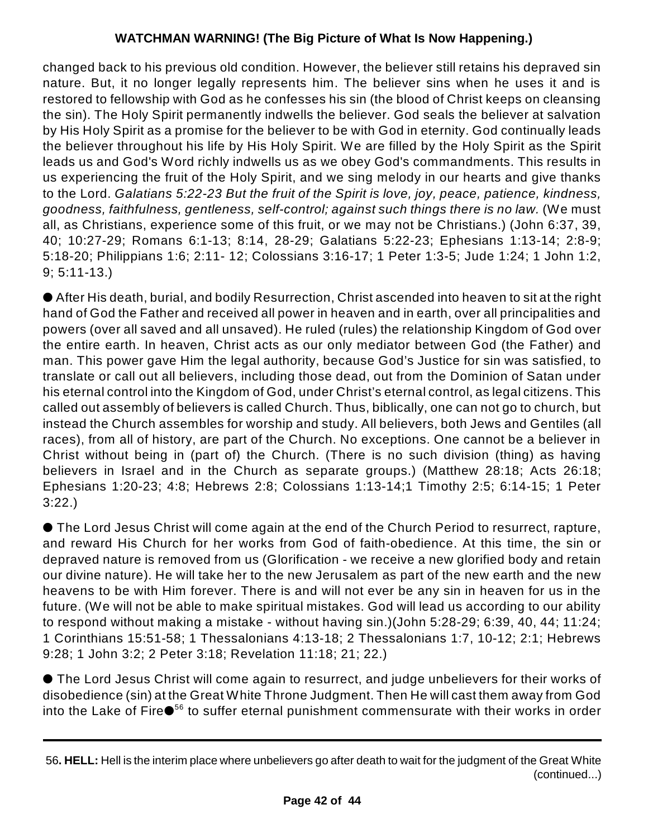changed back to his previous old condition. However, the believer still retains his depraved sin nature. But, it no longer legally represents him. The believer sins when he uses it and is restored to fellowship with God as he confesses his sin (the blood of Christ keeps on cleansing the sin). The Holy Spirit permanently indwells the believer. God seals the believer at salvation by His Holy Spirit as a promise for the believer to be with God in eternity. God continually leads the believer throughout his life by His Holy Spirit. We are filled by the Holy Spirit as the Spirit leads us and God's Word richly indwells us as we obey God's commandments. This results in us experiencing the fruit of the Holy Spirit, and we sing melody in our hearts and give thanks to the Lord. *Galatians 5:22-23 But the fruit of the Spirit is love, joy, peace, patience, kindness, goodness, faithfulness, gentleness, self-control; against such things there is no law.* (We must all, as Christians, experience some of this fruit, or we may not be Christians.) (John 6:37, 39, 40; 10:27-29; Romans 6:1-13; 8:14, 28-29; Galatians 5:22-23; Ephesians 1:13-14; 2:8-9; 5:18-20; Philippians 1:6; 2:11- 12; Colossians 3:16-17; 1 Peter 1:3-5; Jude 1:24; 1 John 1:2, 9; 5:11-13.)

 After His death, burial, and bodily Resurrection, Christ ascended into heaven to sit at the right hand of God the Father and received all power in heaven and in earth, over all principalities and powers (over all saved and all unsaved). He ruled (rules) the relationship Kingdom of God over the entire earth. In heaven, Christ acts as our only mediator between God (the Father) and man. This power gave Him the legal authority, because God's Justice for sin was satisfied, to translate or call out all believers, including those dead, out from the Dominion of Satan under his eternal control into the Kingdom of God, under Christ's eternal control, as legal citizens. This called out assembly of believers is called Church. Thus, biblically, one can not go to church, but instead the Church assembles for worship and study. All believers, both Jews and Gentiles (all races), from all of history, are part of the Church. No exceptions. One cannot be a believer in Christ without being in (part of) the Church. (There is no such division (thing) as having believers in Israel and in the Church as separate groups.) (Matthew 28:18; Acts 26:18; Ephesians 1:20-23; 4:8; Hebrews 2:8; Colossians 1:13-14;1 Timothy 2:5; 6:14-15; 1 Peter 3:22.)

 The Lord Jesus Christ will come again at the end of the Church Period to resurrect, rapture, and reward His Church for her works from God of faith-obedience. At this time, the sin or depraved nature is removed from us (Glorification - we receive a new glorified body and retain our divine nature). He will take her to the new Jerusalem as part of the new earth and the new heavens to be with Him forever. There is and will not ever be any sin in heaven for us in the future. (We will not be able to make spiritual mistakes. God will lead us according to our ability to respond without making a mistake - without having sin.)(John 5:28-29; 6:39, 40, 44; 11:24; 1 Corinthians 15:51-58; 1 Thessalonians 4:13-18; 2 Thessalonians 1:7, 10-12; 2:1; Hebrews 9:28; 1 John 3:2; 2 Peter 3:18; Revelation 11:18; 21; 22.)

 The Lord Jesus Christ will come again to resurrect, and judge unbelievers for their works of disobedience (sin) at the Great White Throne Judgment. Then He will cast them away from God into the Lake of Fire $\bullet^{56}$  to suffer eternal punishment commensurate with their works in order

<sup>56</sup>**. HELL:** Hell is the interim place where unbelievers go after death to wait for the judgment of the Great White (continued...)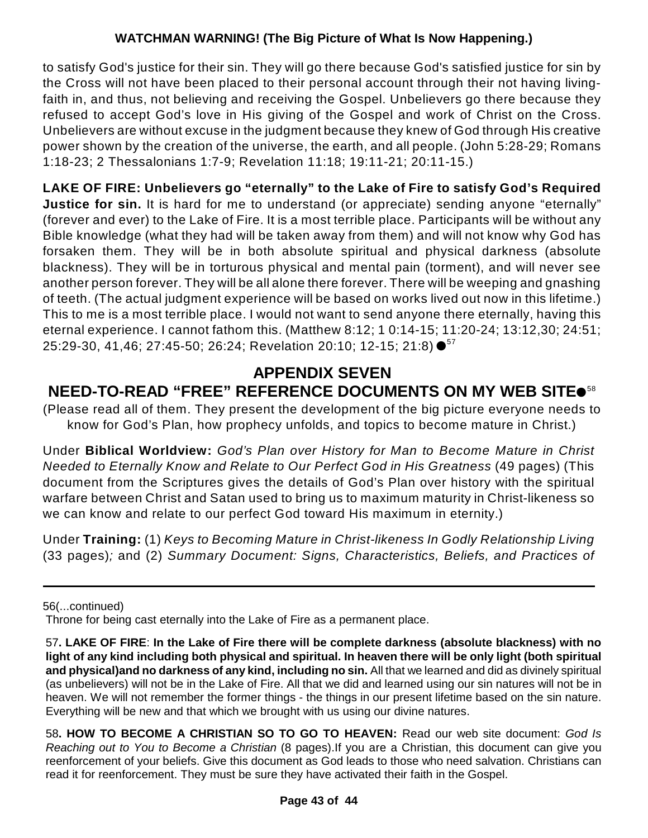to satisfy God's justice for their sin. They will go there because God's satisfied justice for sin by the Cross will not have been placed to their personal account through their not having livingfaith in, and thus, not believing and receiving the Gospel. Unbelievers go there because they refused to accept God's love in His giving of the Gospel and work of Christ on the Cross. Unbelievers are without excuse in the judgment because they knew of God through His creative power shown by the creation of the universe, the earth, and all people. (John 5:28-29; Romans 1:18-23; 2 Thessalonians 1:7-9; Revelation 11:18; 19:11-21; 20:11-15.)

**LAKE OF FIRE: Unbelievers go "eternally" to the Lake of Fire to satisfy God's Required Justice for sin.** It is hard for me to understand (or appreciate) sending anyone "eternally" (forever and ever) to the Lake of Fire. It is a most terrible place. Participants will be without any Bible knowledge (what they had will be taken away from them) and will not know why God has forsaken them. They will be in both absolute spiritual and physical darkness (absolute blackness). They will be in torturous physical and mental pain (torment), and will never see another person forever. They will be all alone there forever. There will be weeping and gnashing of teeth. (The actual judgment experience will be based on works lived out now in this lifetime.) This to me is a most terrible place. I would not want to send anyone there eternally, having this eternal experience. I cannot fathom this. (Matthew 8:12; 1 0:14-15; 11:20-24; 13:12,30; 24:51; 25:29-30, 41,46; 27:45-50; 26:24; Revelation 20:10; 12-15; 21:8) ●<sup>57</sup>

# **APPENDIX SEVEN NEED-TO-READ "FREE" REFERENCE DOCUMENTS ON MY WEB SITE** 58

(Please read all of them. They present the development of the big picture everyone needs to know for God's Plan, how prophecy unfolds, and topics to become mature in Christ.)

Under **Biblical Worldview:** *God's Plan over History for Man to Become Mature in Christ Needed to Eternally Know and Relate to Our Perfect God in His Greatness* (49 pages) (This document from the Scriptures gives the details of God's Plan over history with the spiritual warfare between Christ and Satan used to bring us to maximum maturity in Christ-likeness so we can know and relate to our perfect God toward His maximum in eternity.)

Under **Training:** (1) *Keys to Becoming Mature in Christ-likeness In Godly Relationship Living* (33 pages)*;* and (2) *Summary Document: Signs, Characteristics, Beliefs, and Practices of*

56(...continued)

Throne for being cast eternally into the Lake of Fire as a permanent place.

<sup>57</sup>**. LAKE OF FIRE**: **In the Lake of Fire there will be complete darkness (absolute blackness) with no light of any kind including both physical and spiritual. In heaven there will be only light (both spiritual and physical)and no darkness of any kind, including no sin.** All that we learned and did as divinely spiritual (as unbelievers) will not be in the Lake of Fire. All that we did and learned using our sin natures will not be in heaven. We will not remember the former things - the things in our present lifetime based on the sin nature. Everything will be new and that which we brought with us using our divine natures.

<sup>58</sup>**. HOW TO BECOME A CHRISTIAN SO TO GO TO HEAVEN:** Read our web site document: *God Is Reaching out to You to Become a Christian* (8 pages).If you are a Christian, this document can give you reenforcement of your beliefs. Give this document as God leads to those who need salvation. Christians can read it for reenforcement. They must be sure they have activated their faith in the Gospel.